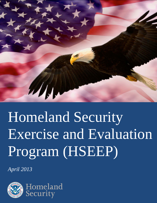

# Homeland Security Exercise and Evaluation Program (HSEEP)

*April 2013*

**PRESERVE DRAFT INTER** 

Homeland

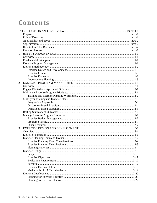# Contents

| 1. |  |
|----|--|
|    |  |
|    |  |
|    |  |
|    |  |
|    |  |
|    |  |
|    |  |
|    |  |
| 2. |  |
|    |  |
|    |  |
|    |  |
|    |  |
|    |  |
|    |  |
|    |  |
|    |  |
|    |  |
|    |  |
|    |  |
|    |  |
|    |  |
| 3. |  |
|    |  |
|    |  |
|    |  |
|    |  |
|    |  |
|    |  |
|    |  |
|    |  |
|    |  |
|    |  |
|    |  |
|    |  |
|    |  |
|    |  |
|    |  |
|    |  |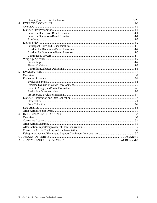| 5. |  |
|----|--|
|    |  |
|    |  |
|    |  |
|    |  |
|    |  |
|    |  |
|    |  |
|    |  |
|    |  |
|    |  |
|    |  |
|    |  |
| 6. |  |
|    |  |
|    |  |
|    |  |
|    |  |
|    |  |
|    |  |
|    |  |
|    |  |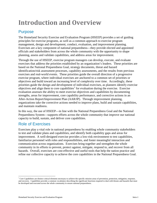# <span id="page-3-0"></span>**Introduction and Overview**

# <span id="page-3-1"></span>Purpose

The Homeland Security Exercise and Evaluation Program (HSEEP) provides a set of guiding principles for exercise programs, as well as a common approach to exercise program management, design and development, conduct, evaluation, and improvement planning. Exercises are a key component of national preparedness—they provide elected and appointed officials and stakeholders from across the whole community with the opportunity to shape planning, assess and validate capabilities, and address areas for improvement.

Through the use of HSEEP, exercise program managers can develop, execute, and evaluate exercises that address the priorities established by an organization's leaders. These priorities are based on the National Preparedness Goal, strategy documents, threat and hazard identification/risk assessment processes, capability assessments, and the results from previous exercises and real-world events. These priorities guide the overall direction of a progressive exercise program, where individual exercises are anchored to a common set of priorities or objectives and build toward an increasing level of complexity over time. Accordingly, these priorities guide the design and development of individual exercises, as planners identify exercise objectives and align them to core capabilities<sup>[1](#page-3-3)</sup> for evaluation during the exercise. Exercise evaluation assesses the ability to meet exercise objectives and capabilities by documenting strengths, areas for improvement, core capability performance, and corrective actions in an After-Action Report/Improvement Plan (AAR/IP). Through improvement planning, organizations take the corrective actions needed to improve plans, build and sustain capabilities, and maintain readiness.

In this way, the use of HSEEP—in line with the National Preparedness Goal and the National Preparedness System—supports efforts across the whole community that improve our national capacity to build, sustain, and deliver core capabilities.

# <span id="page-3-2"></span>Role of Exercises

Exercises play a vital role in national preparedness by enabling whole community stakeholders to test and validate plans and capabilities, and identify both capability gaps and areas for improvement. A well-designed exercise provides a low-risk environment to test capabilities, familiarize personnel with roles and responsibilities, and foster meaningful interaction and communication across organizations. Exercises bring together and strengthen the whole community in its efforts to prevent, protect against, mitigate, respond to, and recover from all hazards. Overall, exercises are cost-effective and useful tools that help the nation practice and refine our collective capacity to achieve the core capabilities in the National Preparedness Goal.

<span id="page-3-3"></span> $1^{\circ}$  Core Capabilities are distinct critical elements necessary to achieve the specific mission areas of prevention, protection, mitigation, response, and recovery. Capabilities provide a common vocabulary describing the significant functions required to deal with threats and hazards that must be developed and executed across the whole community to ensure national preparedness.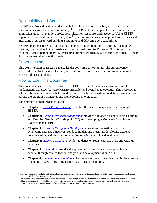# <span id="page-4-0"></span>Applicability and Scope

HSEEP exercise and evaluation doctrine is flexible, scalable, adaptable, and is for use by stakeholders across the whole community.<sup>[2](#page-4-3)</sup> HSEEP doctrine is applicable for exercises across all mission areas—prevention, protection, mitigation, response, and recovery. Using HSEEP supports the National Preparedness System<sup>[3](#page-4-4)</sup> by providing a consistent approach to exercises and measuring progress toward building, sustaining, and delivering core capabilities.

HSEEP doctrine is based on national best practices and is supported by training, technology systems, tools, and technical assistance. The National Exercise Program (NEP) is consistent with the HSEEP methodology. Exercise practitioners are encouraged to apply and adapt HSEEP doctrine to meet their specific needs.

### <span id="page-4-1"></span>**Supersession**

This 2013 iteration of HSEEP supersedes the 2007 HSEEP Volumes. The current version reflects the feedback, lessons learned, and best practices of the exercise community, as well as current policies and plans.

### <span id="page-4-2"></span>How to Use This Document

This document serves as a description of HSEEP doctrine. It includes an overview of HSEEP fundamentals that describes core HSEEP principles and overall methodology. This overview is followed by several chapters that provide exercise practitioners with more detailed guidance on putting the program's principles and methodology into practice.

The doctrine is organized as follows:

- **Chapter 1:** *HSEEP [Fundamentals](#page-6-0)* describes the basic principles and methodology of HSEEP.
- **Chapter 2:** *[Exercise Program Management](#page-9-0)* provides guidance for conducting a Training and Exercise Planning Workshop (TEPW) and developing a Multi-year Training and Exercise Plan (TEP).
- **Chapter 3:** *[Exercise Design and Development](#page-16-0)* describes the methodology for developing exercise objectives, conducting planning meetings, developing exercise documentation, and planning for exercise logistics, control, and evaluation.
- **Chapter 4:** *[Exercise Conduct](#page-41-0)* provides guidance on setup, exercise play, and wrap-up activities.
- **Chapter 5:** *[Evaluation](#page-49-0)* provides the approach to exercise evaluation planning and conduct through data collection, analysis, and development of an AAR.
- **Chapter 6:** *[Improvement Planning](#page-55-0)* addresses corrective actions identified in the exercise IP and the process of tracking corrective actions to resolution.

<span id="page-4-3"></span> $2$  The whole community includes individuals, families, communities, the private and nonprofit sectors, faith-based organizations, and Federal, State, local, tribal, and territorial governments.

<span id="page-4-4"></span> $3$  The National Preparedness System includes identifying and assessing risks; estimating the level of capabilities needed to address those risks; building or sustaining the required levels of capability; developing and implementing plans to deliver those capabilities; validating and monitoring progress; and reviewing and updating efforts to promote continuous improvement.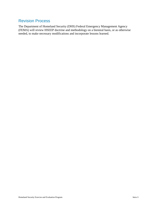# <span id="page-5-0"></span>Revision Process

The Department of Homeland Security (DHS) Federal Emergency Management Agency (FEMA) will review HSEEP doctrine and methodology on a biennial basis, or as otherwise needed, to make necessary modifications and incorporate lessons learned.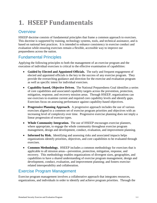# <span id="page-6-0"></span>**1. HSEEP Fundamentals**

# <span id="page-6-1"></span>**Overview**

HSEEP doctrine consists of fundamental principles that frame a common approach to exercises. This doctrine is supported by training, technology systems, tools, and technical assistance, and is based on national best practices. It is intended to enhance consistency in exercise conduct and evaluation while ensuring exercises remain a flexible, accessible way to improve our preparedness across the nation.

# <span id="page-6-2"></span>Fundamental Principles

Applying the following principles to both the management of an exercise program and the execution of individual exercises is critical to the effective examination of capabilities:

- **Guided by Elected and Appointed Officials.** The early and frequent engagement of elected and appointed officials is the key to the success of any exercise program. They provide the overarching guidance and direction for the exercise and evaluation program as well as specific intent for individual exercises.
- **Capability-based, Objective Driven.** The National Preparedness Goal identifies a series of core capabilities and associated capability targets across the prevention, protection, mitigation, response, and recovery mission areas. Through HSEEP, organizations can use exercises to examine current and required core capability levels and identify gaps. Exercises focus on assessing performance against capability-based objectives.
- **Progressive Planning Approach.** A progressive approach includes the use of various exercises aligned to a common set of exercise program priorities and objectives with an increasing level of complexity over time. Progressive exercise planning does not imply a linear progression of exercise types.
- **Whole Community Integration.** The use of HSEEP encourages exercise planners, where appropriate, to engage the whole community throughout exercise program management, design and development, conduct, evaluation, and improvement planning.
- **Informed by Risk.** Identifying and assessing risks and associated impacts helps organizations identify priorities, objectives, and core capabilities to be evaluated through exercises.
- **Common Methodology.** HSEEP includes a common methodology for exercises that is applicable to all mission areas—prevention, protection, mitigation, response, and recovery. This methodology enables organizations of divergent sizes, geographies, and capabilities to have a shared understanding of exercise program management, design and development, conduct, evaluation, and improvement planning; and fosters exerciserelated interoperability and collaboration.

# <span id="page-6-3"></span>Exercise Program Management

Exercise program management involves a collaborative approach that integrates resources, organizations, and individuals in order to identify and achieve program priorities. Through the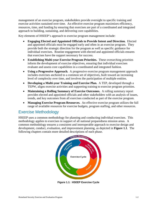management of an exercise program, stakeholders provide oversight to specific training and exercise activities sustained over time. An effective exercise program maximizes efficiency, resources, time, and funding by ensuring that exercises are part of a coordinated and integrated approach to building, sustaining, and delivering core capabilities.

Key elements of HSEEP's approach to exercise program management include:

- **Engaging Elected and Appointed Officials to Provide Intent and Direction.** Elected and appointed officials must be engaged early and often in an exercise program. They provide both the strategic direction for the program as well as specific guidance for individual exercises. Routine engagement with elected and appointed officials ensures that exercises have the support necessary for success.
- **Establishing Multi-year Exercise Program Priorities.** These overarching priorities inform the development of exercise objectives, ensuring that individual exercises evaluate and assess core capabilities in a coordinated and integrated fashion.
- **Using a Progressive Approach.** A progressive exercise program management approach includes exercises anchored to a common set of objectives, built toward an increasing level of complexity over time, and involves the participation of multiple entities.
- **Developing a Multi-year Training and Exercise Plan.** A TEP, developed through a TEPW, aligns exercise activities and supporting training to exercise program priorities.
- **Maintaining a Rolling Summary of Exercise Outcomes.** A rolling summary report provides elected and appointed officials and other stakeholders with an analysis of issues, trends, and key outcomes from all exercises conducted as part of the exercise program.
- **Managing Exercise Program Resources.** An effective exercise program utilizes the full range of available resources for exercise budgets, program staffing, and other resources.

# <span id="page-7-0"></span>Exercise Methodology

HSEEP uses a common methodology for planning and conducting individual exercises. This methodology applies to exercises in support of all national preparedness mission areas. A common methodology ensures a consistent and interoperable approach to exercise design and development, conduct, evaluation, and improvement planning, as depicted in **Figure 1.1**. The following chapters contain more detailed descriptions of each phase.



**Figure 1.1: HSEEP Exercise Cycle**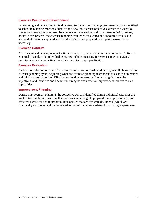#### <span id="page-8-0"></span>**Exercise Design and Development**

In designing and developing individual exercises, exercise planning team members are identified to schedule planning meetings, identify and develop exercise objectives, design the scenario, create documentation, plan exercise conduct and evaluation, and coordinate logistics. At key points in this process, the exercise planning team engages elected and appointed officials to ensure their intent is captured and that the officials are prepared to support the exercise as necessary.

#### <span id="page-8-1"></span>**Exercise Conduct**

After design and development activities are complete, the exercise is ready to occur. Activities essential to conducting individual exercises include preparing for exercise play, managing exercise play, and conducting immediate exercise wrap-up activities.

#### <span id="page-8-2"></span>**Exercise Evaluation**

Evaluation is the cornerstone of an exercise and must be considered throughout all phases of the exercise planning cycle, beginning when the exercise planning team meets to establish objectives and initiate exercise design. Effective evaluation assesses performance against exercise objectives, and identifies and documents strengths and areas for improvement relative to core capabilities.

#### <span id="page-8-3"></span>**Improvement Planning**

During improvement planning, the corrective actions identified during individual exercises are tracked to completion, ensuring that exercises yield tangible preparedness improvements. An effective corrective action program develops IPs that are dynamic documents, which are continually monitored and implemented as part of the larger system of improving preparedness.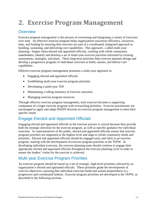# <span id="page-9-0"></span>**2. Exercise Program Management**

### <span id="page-9-1"></span>**Overview**

Exercise program management is the process of overseeing and integrating a variety of exercises over time. An effective exercise program helps organizations maximize efficiency, resources, time, and funding by ensuring that exercises are part of a coordinated, integrated approach to building, sustaining, and delivering core capabilities. This approach—called multi-year planning—begins when elected and appointed officials, working with whole community stakeholders, identify and develop a set of multi-year exercise priorities informed by existing assessments, strategies, and plans. These long-term priorities help exercise planners design and develop a progressive program of individual exercises to build, sustain, and deliver core capabilities.

Effective exercise program management promotes a multi-year approach to:

- Engaging elected and appointed officials
- Establishing multi-year exercise program priorities
- Developing a multi-year TEP
- Maintaining a rolling summary of exercise outcomes
- Managing exercise program resources

Through effective exercise program management, each exercise becomes a supporting component of a larger exercise program with overarching priorities. Exercise practitioners are encouraged to apply and adapt HSEEP doctrine on exercise program management to meet their specific needs.

# <span id="page-9-2"></span>Engage Elected and Appointed Officials

Engaging elected and appointed officials in the exercise process is critical because they provide both the strategic direction for the exercise program, as well as specific guidance for individual exercises. As representatives of the public, elected and appointed officials ensure that exercise program priorities are supported at the highest level and align to whole community needs and priorities. Elected and appointed officials should be engaged early and often in an exercise program, starting with the development of exercise program priorities at the TEPW. In developing individual exercises, the exercise planning team should continue to engage their appropriate elected and appointed officials throughout the exercise planning cycle in order to ensure the leaders' vision for the exercise is achieved.

# <span id="page-9-3"></span>Multi-year Exercise Program Priorities

An exercise program should be based on a set of strategic, high-level priorities selected by an organization's elected and appointed officials. These priorities guide the development of exercise objectives, ensuring that individual exercises build and sustain preparedness in a progressive and coordinated fashion. Exercise program priorities are developed at the TEPW, as described in the following sections.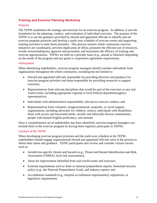#### <span id="page-10-0"></span>**Training and Exercise Planning Workshop**

#### *Purpose*

The TEPW establishes the strategy and structure for an exercise program. In addition, it sets the foundation for the planning, conduct, and evaluation of individual exercises. The purpose of the TEPW is to use the guidance provided by elected and appointed officials to identify and set exercise program priorities and develop a multi-year schedule of exercise events and supporting training activities to meet those priorities. This process ensures whole community exercise initiatives are coordinated, prevents duplication of effort, promotes the efficient use of resources, avoids overextending key agencies and personnel, and maximizes the efficacy of training and exercise appropriations. TEPWs are held on a periodic basis (e.g., annual or biennial) depending on the needs of the program and any grant or cooperative agreement requirements.

#### *Participation*

When identifying stakeholders, exercise program managers should consider individuals from organizations throughout the whole community, including but not limited to:

- Elected and appointed officials responsible for providing direction and guidance for exercise program priorities and those responsible for providing resources to support exercises;
- Representatives from relevant disciplines that would be part of the exercises or any realworld events, including appropriate regional or local Federal department/agency representatives;
- Individuals with administrative responsibility relevant to exercise conduct; and
- Representatives from volunteer, nongovernmental, nonprofit, or social support organizations, including advocates for children, seniors, individuals with disabilities, those with access and functional needs, racially and ethnically diverse communities, people with limited English proficiency, and animals.

Once a comprehensive set of stakeholders has been identified, exercise program managers can include them in the exercise program by having them regularly participate in TEPWs.

#### *Conduct of the TEPW*

When developing exercise program priorities and the multi-year schedule at the TEPW, stakeholders should engage organizational elected and appointed officials early in the process to obtain their intent and guidance. TEPW participants also review and consider various factors such as:

- Jurisdiction-specific threats and hazards (e.g., Threat and Hazard Identification and Risk Assessment [THIRA], local risk assessments);
- Areas for improvement identified from real-world events and exercises;
- External requirements such as State or national preparedness reports, homeland security policy (e.g., the National Preparedness Goal), and industry reports; and
- Accreditation standards (e.g., hospital accreditation requirements), regulations, or legislative requirements.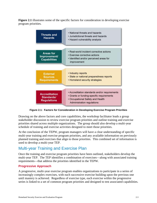**Figure 2.1** illustrates some of the specific factors for consideration in developing exercise program priorities.

| <b>Threats and</b><br><b>Hazards</b>                           | . National threats and hazards<br>. Jurisdictional threats and hazards<br>• Hazard vulnerability analysis                                                    |
|----------------------------------------------------------------|--------------------------------------------------------------------------------------------------------------------------------------------------------------|
| <b>Areas for</b><br><b>Improvement/</b><br><b>Capabilities</b> | · Real-world incident corrective actions<br>· Exercise corrective actions<br>· Identified and/or perceived areas for<br>improvement                          |
| <b>External</b><br><b>Sources</b><br><b>Requirements</b>       | • Industry reports<br>· State or national preparedness reports<br>• Homeland security strategies                                                             |
| <b>Accreditation</b><br>Standards/<br><b>Regulations</b>       | • Accreditation standards and/or requirements<br>• Grants or funding-specific requirements<br>• Occupational Safety and Health<br>Administration regulations |

**Figure 2.1: Factors for Consideration in Developing Exercise Program Priorities**

Drawing on the above factors and core capabilities, the workshop facilitator leads a group stakeholder discussion to review exercise program priorities and outline training and exercise priorities shared across multiple organizations. The group should also develop a multi-year schedule of training and exercise activities designed to meet those priorities.

At the conclusion of the TEPW, program managers will have a clear understanding of specific multi-year training and exercise program priorities, and any available information on previously planned training and exercises that align to those priorities. This combined set of information is used to develop a multi-year TEP.

# <span id="page-11-0"></span>Multi-year Training and Exercise Plan

Once the training and exercise program priorities have been outlined, stakeholders develop the multi-year TEP. The TEP identifies a combination of exercises—along with associated training requirements—that address the priorities identified in the TEPW.

#### <span id="page-11-1"></span>**Progressive Approach**

A progressive, multi-year exercise program enables organizations to participate in a series of increasingly complex exercises, with each successive exercise building upon the previous one until mastery is achieved. Regardless of exercise type, each exercise within the progressive series is linked to a set of common program priorities and designed to test associated capabilities.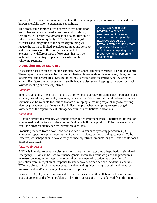Further, by defining training requirements in the planning process, organizations can address known shortfalls prior to exercising capabilities.

This progressive approach, with exercises that build upon each other and are supported at each step with training resources, will ensure that organizations do not rush into a full-scale exercise too quickly. Effective planning of exercises and integration of the necessary training will reduce the waste of limited exercise resources and serve to address known shortfalls prior to the conduct of the exercise. The different types of exercises that may be included in the multi-year plan are described in the following sections.

A progressive exercise program is a series of exercises tied to a set of common program priorities. Each exercise builds on previous exercises using more sophisticated simulation techniques or requiring more preparation time, personnel, and planning.

#### <span id="page-12-0"></span>**Discussion-Based Exercises**

Discussion-based exercises include seminars, workshops, tabletop exercises (TTXs), and games. These types of exercises can be used to familiarize players with, or develop new, plans, policies, agreements, and procedures. Discussion-based exercises focus on strategic, policy-oriented issues. Facilitators and/or presenters usually lead the discussion, keeping participants on track towards meeting exercise objectives.

#### *Seminars*

Seminars generally orient participants to, or provide an overview of, authorities, strategies, plans, policies, procedures, protocols, resources, concepts, and ideas. As a discussion-based exercise, seminars can be valuable for entities that are developing or making major changes to existing plans or procedures. Seminars can be similarly helpful when attempting to assess or gain awareness of the capabilities of interagency or inter-jurisdictional operations.

#### *Workshops*

Although similar to seminars, workshops differ in two important aspects: participant interaction is increased, and the focus is placed on achieving or building a product. Effective workshops entail the broadest attendance by relevant stakeholders.

Products produced from a workshop can include new standard operating procedures (SOPs), emergency operations plans, continuity of operations plans, or mutual aid agreements. To be effective, workshops should have clearly defined objectives, products, or goals, and should focus on a specific issue.

#### *Tabletop Exercises*

A TTX is intended to generate discussion of various issues regarding a hypothetical, simulated emergency. TTXs can be used to enhance general awareness, validate plans and procedures, rehearse concepts, and/or assess the types of systems needed to guide the prevention of, protection from, mitigation of, response to, and recovery from a defined incident. Generally, TTXs are aimed at facilitating conceptual understanding, identifying strengths and areas for improvement, and/or achieving changes in perceptions.

During a TTX, players are encouraged to discuss issues in depth, collaboratively examining areas of concern and solving problems. The effectiveness of a TTX is derived from the energetic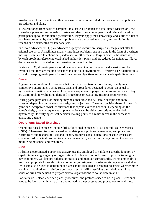involvement of participants and their assessment of recommended revisions to current policies, procedures, and plans.

TTXs can range from basic to complex. In a basic TTX (such as a Facilitated Discussion), the scenario is presented and remains constant—it describes an emergency and brings discussion participants up to the simulated present time. Players apply their knowledge and skills to a list of problems presented by the facilitator; problems are discussed as a group; and resolution is reached and documented for later analysis.

In a more advanced TTX, play advances as players receive pre-scripted messages that alter the original scenario. A facilitator usually introduces problems one at a time in the form of a written message, simulated telephone call, videotape, or other means. Players discuss the issues raised by each problem, referencing established authorities, plans, and procedures for guidance. Player decisions are incorporated as the scenario continues to unfold.

During a TTX, all participants should be encouraged to contribute to the discussion and be reminded that they are making decisions in a no-fault environment. Effective TTX facilitation is critical to keeping participants focused on exercise objectives and associated capability targets.

#### *Games*

A game is a simulation of operations that often involves two or more teams, usually in a competitive environment, using rules, data, and procedures designed to depict an actual or hypothetical situation. Games explore the consequences of player decisions and actions. They are useful tools for validating plans and procedures or evaluating resource requirements.

During game play, decision-making may be either slow and deliberate or rapid and more stressful, depending on the exercise design and objectives. The open, decision-based format of a game can incorporate "what if" questions that expand exercise benefits. Depending on the game's design, the consequences of player actions can be either pre-scripted or decided dynamically. Identifying critical decision-making points is a major factor in the success of evaluating a game.

#### <span id="page-13-0"></span>**Operations-Based Exercises**

Operations-based exercises include drills, functional exercises (FEs), and full-scale exercises (FSEs). These exercises can be used to validate plans, policies, agreements, and procedures; clarify roles and responsibilities; and identify resource gaps. Operations-based exercises are characterized by actual reaction to an exercise scenario, such as initiating communications or mobilizing personnel and resources.

#### *Drills*

A drill is a coordinated, supervised activity usually employed to validate a specific function or capability in a single agency or organization. Drills are commonly used to provide training on new equipment, validate procedures, or practice and maintain current skills. For example, drills may be appropriate for establishing a community-designated disaster receiving center or shelter. Drills can also be used to determine if plans can be executed as designed, to assess whether more training is required, or to reinforce best practices. A drill is useful as a stand-alone tool, but a series of drills can be used to prepare several organizations to collaborate in an FSE.

For every drill, clearly defined plans, procedures, and protocols need to be in place. Personnel need to be familiar with those plans and trained in the processes and procedures to be drilled.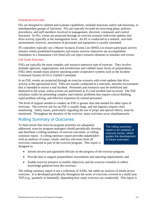#### *Functional Exercises*

FEs are designed to validate and evaluate capabilities, multiple functions and/or sub-functions, or interdependent groups of functions. FEs are typically focused on exercising plans, policies, procedures, and staff members involved in management, direction, command, and control functions. In FEs, events are projected through an exercise scenario with event updates that drive activity typically at the management level. An FE is conducted in a realistic, real-time environment; however, movement of personnel and equipment is usually simulated.

FE controllers typically use a Master Scenario Events List (MSEL) to ensure participant activity remains within predefined boundaries and ensure exercise objectives are accomplished. Simulators in a Simulation Cell (SimCell) can inject scenario elements to simulate real events.

#### *Full-Scale Exercises*

FSEs are typically the most complex and resource-intensive type of exercise. They involve multiple agencies, organizations, and jurisdictions and validate many facets of preparedness. FSEs often include many players operating under cooperative systems such as the Incident Command System (ICS) or Unified Command.

In an FSE, events are projected through an exercise scenario with event updates that drive activity at the operational level. FSEs are usually conducted in a real-time, stressful environment that is intended to mirror a real incident. Personnel and resources may be mobilized and deployed to the scene, where actions are performed as if a real incident had occurred. The FSE simulates reality by presenting complex and realistic problems that require critical thinking, rapid problem solving, and effective responses by trained personnel.

The level of support needed to conduct an FSE is greater than that needed for other types of exercises. The exercise site for an FSE is usually large, and site logistics require close monitoring. Safety issues, particularly regarding the use of props and special effects, must be monitored. Throughout the duration of the exercise, many activities occur simultaneously.

### <span id="page-14-0"></span>Rolling Summary of Outcomes

To help ensure that exercise program priorities are adequately addressed, exercise program managers should periodically develop and distribute a rolling summary of exercise outcomes, or rolling summary report. A rolling summary report provides stakeholders with an analysis of issues, trends, and key outcomes from all exercises conducted as part of the exercise program. This report is designed to:

The rolling summary report is an analysis of exercise trends, which guides the development of future exercises.

- Inform elected and appointed officials on the progress of the exercise program;
- Provide data to support preparedness assessments and reporting requirements; and
- Enable exercise planners to modify objectives and the exercise schedule to reflect knowledge gathered from the exercises.

The rolling summary report is not a collection of AARs, but rather an analysis of trends across exercises. It is developed periodically throughout the series of exercises covered in a multi-year TEP (e.g., quarterly or biennially, depending how many exercises are conducted). This report is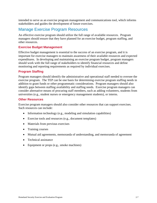intended to serve as an exercise program management and communications tool, which informs stakeholders and guides the development of future exercises.

### <span id="page-15-0"></span>Manage Exercise Program Resources

An effective exercise program should utilize the full range of available resources. Program managers should ensure that they have planned for an exercise budget, program staffing, and other resources.

#### <span id="page-15-1"></span>**Exercise Budget Management**

Effective budget management is essential to the success of an exercise program, and it is important for exercise managers to maintain awareness of their available resources and expected expenditures. In developing and maintaining an exercise program budget, program managers should work with the full range of stakeholders to identify financial resources and define monitoring and reporting requirements as required by individual exercises.

#### <span id="page-15-2"></span>**Program Staffing**

Program managers should identify the administrative and operational staff needed to oversee the exercise program. The TEP can be one basis for determining exercise program staffing needs in addition to grant funds or other programmatic considerations. Program managers should also identify gaps between staffing availability and staffing needs. Exercise program managers can consider alternative means of procuring staff members, such as adding volunteers, students from universities (e.g., student nurses or emergency management students), or interns.

#### <span id="page-15-3"></span>**Other Resources**

Exercise program managers should also consider other resources that can support exercises. Such resources can include:

- Information technology (e.g., modeling and simulation capabilities)
- Exercise tools and resources (e.g., document templates)
- Materials from previous exercises
- Training courses
- Mutual aid agreements, memoranda of understanding, and memoranda of agreement
- Technical assistance
- Equipment or props (e.g., smoke machines)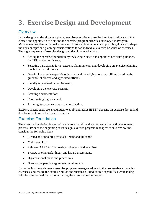# <span id="page-16-0"></span>**3. Exercise Design and Development**

# <span id="page-16-1"></span>**Overview**

In the design and development phase, exercise practitioners use the intent and guidance of their elected and appointed officials and the exercise program priorities developed in Program Management to plan individual exercises. Exercise planning teams apply this guidance to shape the key concepts and planning considerations for an individual exercise or series of exercises. The eight key steps of exercise design and development include:

- Setting the exercise foundation by reviewing elected and appointed officials' guidance, the TEP, and other factors;
- Selecting participants for an exercise planning team and developing an exercise planning timeline with milestones;
- Developing exercise-specific objectives and identifying core capabilities based on the guidance of elected and appointed officials;
- Identifying evaluation requirements;
- Developing the exercise scenario:
- Creating documentation;
- Coordinating logistics; and
- Planning for exercise control and evaluation.

Exercise practitioners are encouraged to apply and adapt HSEEP doctrine on exercise design and development to meet their specific needs.

### <span id="page-16-2"></span>Exercise Foundation

The exercise foundation is a set of key factors that drive the exercise design and development process. Prior to the beginning of its design, exercise program managers should review and consider the following items:

- Elected and appointed officials' intent and guidance
- Multi-year TEP
- Relevant AAR/IPs from real-world events and exercises
- THIRA or other risk, threat, and hazard assessments
- Organizational plans and procedures
- Grant or cooperative agreement requirements.

By reviewing these elements, exercise program managers adhere to the progressive approach to exercises, and ensure the exercise builds and sustains a jurisdiction's capabilities while taking prior lessons learned into account during the exercise design process.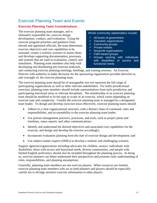# <span id="page-17-0"></span>Exercise Planning Team and Events

#### <span id="page-17-1"></span>**Exercise Planning Team Considerations**

The exercise planning team manages, and is ultimately responsible for, exercise design, development, conduct, and evaluation. Using the exercise program priorities and guidance from elected and appointed officials, the team determines exercise objectives and core capabilities to be assessed; creates a realistic scenario to assess them; and develops supporting documentation, processes, and systems that are used in evaluation, control, and simulation. Planning team members also help with developing and distributing pre-exercise materials,

#### Whole community stakeholders include:

- $\sqrt{ }$  All levels of government
- $\checkmark$  Volunteer organizations
- $\checkmark$  Community groups
- $\checkmark$  Private entities
- $\checkmark$  Nonprofit organizations
- $\checkmark$  Faith-based groups
- $\checkmark$  Groups working with individuals with disabilities or access and functional needs

and conducting exercise planning meetings, briefings, and training sessions. An Exercise Director with authority to make decisions for the sponsoring organization provides direction to, and oversight of, the exercise planning team.

The exercise planning team should be of manageable size yet represent the full range of participating organizations as well as other relevant stakeholders. For multi-jurisdictional exercises, planning team members should include representatives from each jurisdiction and participating functional areas or relevant disciplines. The membership of an exercise planning team should be modified to fit the type or scope of an exercise, which varies depending on exercise type and complexity. Usually the exercise planning team is managed by a designated team leader. To design and develop exercises most effectively, exercise planning teams should:

- Adhere to a clear organizational structure, with a distinct chain of command, roles and responsibilities, and accountability to the exercise planning team leader;
- Use proven management practices, processes, and tools, such as project plans and timelines, status reports, and other communications;
- Identify and understand the desired objectives and associated core capabilities for the exercise, and design and develop the exercise accordingly;
- Incorporate evaluation planning from the start of exercise design and development; and
- Use subject-matter experts (SMEs) to develop a realistic and challenging scenario.

Support agencies/organizations including advocates for children, seniors, individuals with disabilities, those with access and functional needs, diverse communities, and people with limited English proficiency should also be included throughout the planning process. In doing so, exercise planners can better understand their perspectives and promote early understanding of roles, responsibilities, and planning assumptions.

Generally, planning team members are not exercise players. When resources are limited, exercise planning team members who act as both planners and players should be especially careful not to divulge sensitive exercise information to other players.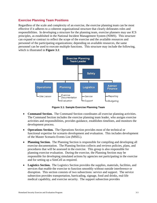#### <span id="page-18-0"></span>**Exercise Planning Team Positions**

Regardless of the scale and complexity of an exercise, the exercise planning team can be most effective if it adheres to a coherent organizational structure that clearly delineates roles and responsibilities. In developing a structure for the planning team, exercise planners may use ICS principles, as established in the National Incident Management System (NIMS). This structure can expand or contract to reflect the scope of the exercise and the available resources and personnel of the participating organizations; depending on available resources, the same personnel can be used to execute multiple functions. This structure may include the following, which is illustrated in **Figure 3.1**:



**Figure 3.1: Sample Exercise Planning Team**

- **Command Section.** The Command Section coordinates all exercise planning activities. The Command Section includes the exercise planning team leader, who assigns exercise activities and responsibilities, provides guidance, establishes timelines, and monitors the development process.
- **Operations Section.** The Operations Section provides most of the technical or functional expertise for scenario development and evaluation. This includes development of the Master Scenario Events List (MSEL).
- **Planning Section.** The Planning Section is responsible for compiling and developing all exercise documentation. The Planning Section collects and reviews policies, plans, and procedures that will be assessed in the exercise. This group is also responsible for planning exercise evaluation. During the exercise, the Planning Section may be responsible for developing simulated actions by agencies not participating in the exercise and for setting up a SimCell as required.
- **Logistics Section.** The Logistics Section provides the supplies, materials, facilities, and services that enable the exercise to function smoothly without outside interference or disruption. This section consists of two subsections: service and support. The service subsection provides transportation, barricading, signage, food and drinks, real-life medical capability, and exercise security. The support subsection provides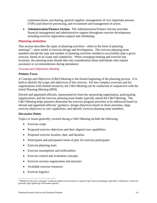communications, purchasing, general supplies, management of very important persons (VIPs) and observer processing, and recruitment and management of actors.

• **Administration/Finance Section.** The Administration/Finance Section provides financial management and administrative support throughout exercise development, including exercise registration support and scheduling.

#### <span id="page-19-0"></span>**Planning Activities**

This section describes the types of planning activities—often in the form of planning meetings<sup>[4](#page-19-1)</sup>—most useful in exercise design and development. The exercise planning team members decide the type and number of planning activities needed to successfully plan a given exercise, based on its scope and complexity. When arranging meeting and exercise site locations, the planning team should take into consideration those individuals who require assistance or accommodations during attendance.

#### *Concept and Objectives Meeting*

#### *Primary Focus*

A Concept and Objectives (C&O) Meeting is the formal beginning of the planning process. It is held to identify the scope and objectives of the exercise. For less complex exercises and for organizations with limited resources, the C&O Meeting can be conducted in conjunction with the Initial Planning Meeting (IPM).

Elected and appointed officials, representatives from the sponsoring organization, participating organizations, and the exercise planning team leader typically attend the C&O Meeting. The C&O Meeting helps planners determine the exercise program priorities to be addressed based on elected and appointed officials' guidance, design objectives based on those priorities, align exercise objectives to core capabilities, and identify exercise planning team members.

#### *Discussion Points*

Topics or issues generally covered during a C&O Meeting include the following:

- Exercise scope
- Proposed exercise objectives and their aligned core capabilities
- Proposed exercise location, date, and duration
- Participants and anticipated extent of play for exercise participants
- Exercise planning team
- Exercise assumptions and artificialities
- Exercise control and evaluation concepts
- Exercise security organization and structure
- Available exercise resources
- Exercise logistics

<span id="page-19-1"></span><sup>&</sup>lt;sup>4</sup> HSEEP uses the term "meetings" to indicate smaller events focused on a specific topic (exercise planning), rather than "conferences," which are generally larger gatherings with broader agendas.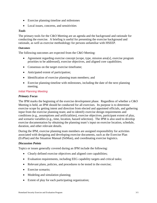- Exercise planning timeline and milestones
- Local issues, concerns, and sensitivities

#### *Tools*

The primary tools for the C&O Meeting are an agenda and the background and rationale for conducting the exercise. A briefing is useful for presenting the exercise background and rationale, as well as exercise methodology for persons unfamiliar with HSEEP.

#### *Outcomes*

The following outcomes are expected from the C&O Meeting:

- Agreement regarding exercise concept (scope, type, mission area[s], exercise program priorities to be addressed), exercise objectives, and aligned core capabilities;
- Consensus on the target exercise timeframe;
- Anticipated extent of participation;
- Identification of exercise planning team members; and
- Exercise planning timeline with milestones, including the date of the next planning meeting.

#### *Initial Planning Meeting*

#### *Primary Focus*

The IPM marks the beginning of the exercise development phase. Regardless of whether a C&O Meeting is held, an IPM should be conducted for all exercises. Its purpose is to determine exercise scope by getting intent and direction from elected and appointed officials, and gathering input from the exercise planning team; and to identify exercise design requirements and conditions (e.g., assumptions and artificialities), exercise objectives, participant extent of play, and scenario variables (e.g., time, location, hazard selection). The IPM is also used to develop exercise documentation by obtaining the planning team's input on exercise location, schedule, duration, and other relevant details.

During the IPM, exercise planning team members are assigned responsibility for activities associated with designing and developing exercise documents, such as the Exercise Plan (ExPlan) and the Situation Manual (SitMan), and coordinating exercise logistics.

#### *Discussion Points*

Topics or issues generally covered during an IPM include the following:

- Clearly defined exercise objectives and aligned core capabilities;
- Evaluation requirements, including EEG capability targets and critical tasks;
- Relevant plans, policies, and procedures to be tested in the exercise;
- Exercise scenario;
- Modeling and simulation planning;
- Extent of play for each participating organization;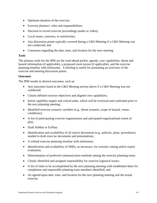- Optimum duration of the exercise;
- Exercise planners' roles and responsibilities;
- Decision to record exercise proceedings (audio or video);
- Local issues, concerns, or sensitivities;
- Any discussion points typically covered during a C&O Meeting if a C&O Meeting was not conducted; and
- Consensus regarding the date, time, and location for the next meeting.

#### *Tools*

The primary tools for the IPM are the read-ahead packet, agenda, core capabilities, threat and hazard information (if applicable), a proposed room layout (if applicable), and the exercise planning timeline with milestones. A briefing is useful for presenting an overview of the exercise and meeting discussion points.

#### *Outcomes*

The IPM results in desired outcomes, such as:

- Any outcomes listed in the C&O Meeting section above if a C&O Meeting was not conducted;
- Clearly defined exercise objectives and aligned core capabilities;
- Initial capability targets and critical tasks, which will be reviewed and confirmed prior to the next planning meeting;
- Identified exercise scenario variables (e.g., threat scenario, scope of hazard, venue, conditions);
- A list of participating exercise organizations and anticipated organizational extent of play;
- Draft SitMan or ExPlan;
- Identification and availability of all source documents (e.g., policies, plans, procedures) needed to draft exercise documents and presentations;
- A refined exercise planning timeline with milestones;
- Identification and availability of SMEs, as necessary, for scenario vetting and/or expert evaluation;
- Determination of preferred communication methods among the exercise planning team;
- Clearly identified and assigned responsibility for exercise logistical issues;
- A list of tasks to be accomplished by the next planning meeting with established dates for completion and responsible planning team members identified; and
- An agreed-upon date, time, and location for the next planning meeting and the actual exercise.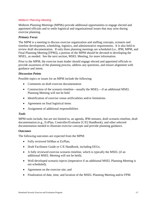#### *Midterm Planning Meeting*

Midterm Planning Meetings (MPMs) provide additional opportunities to engage elected and appointed officials and to settle logistical and organizational issues that may arise during exercise planning.

#### *Primary Focus*

The MPM is a meeting to discuss exercise organization and staffing concepts, scenario and timeline development, scheduling, logistics, and administrative requirements. It is also held to review draft documentation. If only three planning meetings are scheduled (i.e., IPM, MPM, and Final Planning Meeting [FPM]), a portion of the MPM should be devoted to developing the MSEL, as needed. See the next section, MSEL Meeting, for more information.

Prior to the MPM, the exercise team leader should engage elected and appointed officials to provide awareness of the planning process, address any questions, and ensure alignment with guidance and intent.

#### *Discussion Points*

Possible topics or issues for an MPM include the following:

- Comments on draft exercise documentation
- Construction of the scenario timeline—usually the MSEL—if an additional MSEL Planning Meeting will not be held
- Identification of exercise venue artificialities and/or limitations
- Agreement on final logistical items
- Assignment of additional responsibilities

#### *Tools*

MPM tools include, but are not limited to, an agenda, IPM minutes, draft scenario timeline, draft documentation (e.g., ExPlan, Controller/Evaluator [C/E] Handbook), and other selected documentation needed to illustrate exercise concepts and provide planning guidance*.*

#### *Outcomes*

The following outcomes are expected from the MPM:

- Fully reviewed SitMan or ExPlan;
- Draft Facilitator Guide or C/E Handbook, including EEGs;
- A fully reviewed exercise scenario timeline, which is typically the MSEL (if an additional MSEL Meeting will not be held);
- Well-developed scenario injects (imperative if an additional MSEL Planning Meeting is not scheduled);
- Agreement on the exercise site; and
- Finalization of date, time, and location of the MSEL Planning Meeting and/or FPM.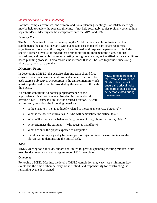#### *Master Scenario Events List Meeting*

For more complex exercises, one or more additional planning meetings—or MSEL Meetings may be held to review the scenario timeline. If not held separately, topics typically covered in a separate MSEL Meeting can be incorporated into the MPM and FPM.

#### *Primary Focus*

The MSEL Meeting focuses on developing the MSEL, which is a chronological list that supplements the exercise scenario with event synopses, expected participant responses, objectives and core capability targets to be addressed, and responsible personnel. It includes specific scenario events (or *injects*) that prompt players to implement the plans, policies, procedures, and protocols that require testing during the exercise, as identified in the capabilitiesbased planning process. It also records the methods that will be used to provide injects (e.g., phone call, radio call, e-mail).

#### *Discussion Points*

In developing a MSEL, the exercise planning team should first consider the critical tasks, conditions, and standards set forth by each exercise objective. A *condition* is the environment in which a task is performed; it can be provided by the scenario or through the MSEL.

If scenario conditions do not trigger performance of the appropriate critical task, the exercise planning team should develop a MSEL entry to simulate the desired situation. A wellwritten entry considers the following questions:

MSEL entries are tied to the Exercise Evaluation Guide critical tasks to ensure the critical tasks and core capabilities can be demonstrated during the exercise.

- Is the event key (i.e., is it directly related to meeting an exercise objective)?
- What is the desired critical task? Who will demonstrate the critical task?
- What will stimulate the behavior (e.g., course of play, phone call, actor, video)?
- Who originates the stimulant? Who receives it and how?
- What action is the player expected to complete?
- Should a contingency entry be developed for injection into the exercise in case the players fail to demonstrate the critical task?

#### *Tools*

MSEL Meeting tools include, but are not limited to, previous planning meeting minutes, draft exercise documentation, and an agreed-upon MSEL template*.*

#### *Outcomes*

Following a MSEL Meeting, the level of MSEL completion may vary. At a minimum, key events and the time of their delivery are identified, and responsibility for constructing the remaining events is assigned.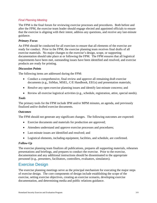#### *Final Planning Meeting*

The FPM is the final forum for reviewing exercise processes and procedures. Both before and after the FPM, the exercise team leader should engage elected and appointed officials to ensure that the exercise is aligning with their intent, address any questions, and receive any last-minute guidance.

#### *Primary Focus*

An FPM should be conducted for all exercises to ensure that all elements of the exercise are ready for conduct. Prior to the FPM, the exercise planning team receives final drafts of all exercise materials. No major changes to the exercise's design, scope, or supporting documentation should take place at or following the FPM. The FPM ensures that all logistical requirements have been met, outstanding issues have been identified and resolved, and exercise products are ready for printing.

#### *Discussion Points*

The following items are addressed during the FPM:

- Conduct a comprehensive, final review and approve all remaining draft exercise documents (e.g., SitMan, MSEL, C/E Handbook, EEGs) and presentation materials;
- Resolve any open exercise planning issues and identify last-minute concerns; and
- Review all exercise logistical activities (e.g., schedule, registration, attire, special needs).

#### *Tools*

The primary tools for the FPM include IPM and/or MPM minutes, an agenda, and previously finalized and/or drafted exercise documents.

#### *Outcomes*

The FPM should not generate any significant changes. The following outcomes are expected:

- Exercise documents and materials for production are approved;
- Attendees understand and approve exercise processes and procedures;
- Last-minute issues are identified and resolved; and
- Logistical elements, including equipment, facilities, and schedule, are confirmed.

#### *Follow-Up*

The exercise planning team finalizes all publications, prepares all supporting materials, rehearses presentations and briefings, and prepares to conduct the exercise. Prior to the exercise, documentation and any additional instructions should be disseminated to the appropriate personnel (e.g., presenters, facilitators, controllers, evaluators, simulators).

### <span id="page-24-0"></span>Exercise Design

The exercise planning meetings serve as the principal mechanism for executing the major steps of exercise design. The core components of design include establishing the scope of the exercise, setting exercise objectives, creating an exercise scenario, developing exercise documentation, and determining media and public relations guidance.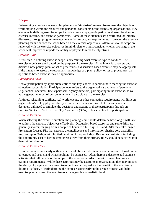#### <span id="page-25-0"></span>**Scope**

Determining exercise scope enables planners to "right-size" an exercise to meet the objectives while staying within the resource and personnel constraints of the exercising organizations. Key elements in defining exercise scope include exercise type, participation level, exercise duration, exercise location, and exercise parameters. Some of these elements are determined, or initially discussed, through program management activities or grant requirements. However, the exercise planning team finalizes the scope based on the exercise objectives. Alterations to the scope are reviewed with the exercise objectives in mind; planners must consider whether a change in the scope will improve or impede the ability of players to meet the objectives.

#### *Exercise Type*

A first step in defining exercise scope is determining what exercise type to conduct. The exercise type is selected based on the purpose of the exercise. If the intent is to review and discuss a new policy, plan, or set of procedures, a discussion-based exercise may be appropriate. If the intent is to assess the responders' knowledge of a plan, policy, or set of procedures, an operations-based exercise may be appropriate.

#### *Participation Level*

Active participation by appropriate entities and key leaders is paramount to meeting the exercise objectives successfully. Participation level refers to the organizations and level of personnel (e.g., tactical operators, line supervisors, agency directors) participating in the exercise, as well as the general number of personnel who will participate in the exercise.

At times, scheduling conflicts, real-world events, or other competing requirements will limit an organization's or key players' ability to participate in an exercise. In this case, exercise designers will need to simulate the decisions and actions of those participants through an exercise SimCell. An Extent of Play Agreement (XPA) defines the level of participation.

#### *Exercise Duration*

When selecting the exercise duration, the planning team should determine how long it will take to address the exercise objectives effectively. Discussion-based exercises and some drills are generally shorter, ranging from a couple of hours to a full day. FEs and FSEs may take longer. Prevention-focused FEs that exercise the intelligence and information sharing core capability may last up to 30 days with limited duration of play each day. Resource constraints, including the opportunity cost of having employees away from their primary roles, should be factored into determining duration.

#### *Exercise Parameters*

Exercise parameters clearly outline what should be included in an exercise scenario based on the objectives and scope, and what should not be exercised. Often there is a desire to add exercise activities that fall outside of the scope of the exercise in order to meet diverse planning and training requirements. While these activities may be useful to an organization, they may impact the ability of players to meet exercise objectives or may reduce the benefit of the exercise by diluting its focus. Clearly defining the exercise scope early in the design process will help exercise planners keep the exercise to a manageable and realistic level.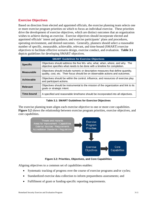#### <span id="page-26-0"></span>**Exercise Objectives**

Based on direction from elected and appointed officials, the exercise planning team selects one or more exercise program priorities on which to focus an individual exercise. These priorities drive the development of exercise objectives, which are distinct outcomes that an organization wishes to achieve during an exercise. Exercise objectives should incorporate elected and appointed officials' intent and guidance, and exercise participants' plans and procedures, operating environment, and desired outcomes. Generally, planners should select a reasonable number of specific, measurable, achievable, relevant, and time-bound (SMART) exercise objectives to facilitate effective scenario design, exercise conduct, and evaluation. **Table 3.1** depicts guidelines for developing SMART objectives.

|                   | <b>SMART Guidelines for Exercise Objectives</b>                                                                                                                  |
|-------------------|------------------------------------------------------------------------------------------------------------------------------------------------------------------|
| <b>Specific</b>   | Objectives should address the five Ws- who, what, when, where, and why. The<br>objective specifies what needs to be done with a timeline for completion.         |
| <b>Measurable</b> | Objectives should include numeric or descriptive measures that define quantity,<br>quality, cost, etc. Their focus should be on observable actions and outcomes. |
| Achievable        | Objectives should be within the control, influence, and resources of exercise play<br>and participant actions.                                                   |
| <b>Relevant</b>   | Objectives should be instrumental to the mission of the organization and link to its<br>goals or strategic intent.                                               |
| Time-bound        | A specified and reasonable timeframe should be incorporated into all objectives.                                                                                 |

**Table 3.1: SMART Guidelines for Exercise Objectives**

The exercise planning team aligns each exercise objective to one or more core capabilities. **Figure 3.2** shows the relationship between exercise program priorities, exercise objectives, and core capabilities.



**Figure 3.2: Priorities, Objectives, and Core Capabilities**

Aligning objectives to a common set of capabilities enables:

- Systematic tracking of progress over the course of exercise programs and/or cycles;
- Standardized exercise data collection to inform preparedness assessments; and
- Fulfillment of grant or funding-specific reporting requirements.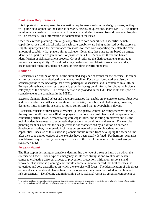#### <span id="page-27-0"></span>**Evaluation Requirements**

It is important to develop exercise evaluation requirements early in the design process, as they will guide development of the exercise scenario, discussion questions, and/or MSEL. Evaluation requirements clearly articulate what will be evaluated during the exercise and how exercise play will be assessed. This information is documented in the EEGs.

Once the exercise planning team aligns objectives to core capabilities, it identifies which capability targets and critical tasks for each core capability are being addressed by the exercise. *Capability targets* are the performance thresholds for each core capability; they state the exact amount of capability that players aim to achieve. Generally, these targets are based on targets identified as part of an organization's or jurisdiction's THIRA or other threat and hazard identification or risk assessment process. *Critical tasks* are the distinct elements required to perform a core capability. Critical tasks may be derived from Mission Area Frameworks, organizational operations plans or SOPs, or discipline-specific standards.

#### <span id="page-27-1"></span>**Scenario**

A scenario is an outline or model of the simulated sequence of events for the exercise. It can be written as a narrative or depicted by an event timeline. For discussion-based exercises, a scenario provides the backdrop that drives participant discussion, and is contained in a SitMan. For operations-based exercises, a scenario provides background information about the incident catalyst(s) of the exercise. The overall scenario is provided in the C/E Handbook, and specific scenario events are contained in the MSEL.

Exercise planners should select and develop scenarios that enable an exercise to assess objectives and core capabilities. All scenarios should be realistic, plausible, and challenging; however, designers must ensure the scenario is not so complicated that it overwhelms players.

A scenario consists of three basic elements: (1) the general context or comprehensive story; (2) the required conditions that will allow players to demonstrate proficiency and competency in conducting critical tasks, demonstrating core capabilities, and meeting objectives; and (3) the technical details necessary to accurately depict scenario conditions and events. The exercise planning team ensures that the design effort is not characterized by a fixation on scenario development; rather, the scenario facilitates assessment of exercise objectives and core capabilities. Because of this, exercise planners should refrain from developing the scenario until after the scope and objectives of the exercise have been clearly defined. Furthermore, scenarios should avoid any sensitivity that may arise, such as the use of real names of terrorist groups or sensitive venues.

#### *Threat or Hazard*

The first step in designing a scenario is determining the type of threat or hazard on which the exercise will focus. Each type of emergency has its own strengths and weaknesses when it comes to evaluating different aspects of prevention, protection, mitigation, response, and recovery. The exercise planning team should choose a threat or hazard that best assesses the objectives and core capabilities on which the exercise will focus. The identification of this threat or hazard scenario should also be based on the organization's threat/hazard identification and risk assessment.<sup>[5](#page-27-2)</sup> Developing and maintaining these risk analyses is an essential component of

<span id="page-27-2"></span> <sup>5</sup> For further guidance on identifying and assessing risks and associated impacts, please refer to the DHS *Comprehensive Preparedness Guide 201: Threat and Hazard Identification and Risk Assessment Guide,* First Edition, April 2012.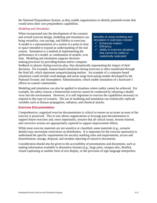the National Preparedness System, as they enable organizations to identify potential events that would stress their core preparedness capabilities.

#### *Modeling and Simulation*

When incorporated into the development of the scenario and overall exercise design, modeling and simulation can bring versatility, cost savings, and fidelity to exercises. A model is a representation of a system at a point in time or space intended to expand an understanding of the real system. Simulation is a method of implementing the performance of a model, or combination of models, over time. Modeling and simulation supports decisionmaking processes by providing human and/or computer

Benefits of using modeling and simulation in exercises include:

- $\checkmark$  Enhanced realism
- $\checkmark$  Efficiency
- $\checkmark$  Ability to exercise situations that cannot be safely or realistically replicated

feedback to players during exercise play, thus dynamically representing the impact of their decisions. For example, human-based simulation during exercises is often manifested through the SimCell, which represents nonparticipating entities. An example of a computer-based simulation could include wind damage and storm surge forecasting models developed by the National Oceanic and Atmospheric Administration, which enable simulation of a hurricane's effects on coastal communities.

Modeling and simulation can also be applied in situations where reality cannot be achieved. For example, for safety reasons a bioterrorism exercise cannot be conducted by releasing a deadly virus into the environment. However, it is still important to exercise the capabilities necessary to respond to this type of scenario. The use of modeling and simulation can realistically replicate variables such as disease propagation, radiation, and chemical attacks.

#### <span id="page-28-0"></span>**Exercise Documentation**

Comprehensive, organized exercise documentation is critical to ensure an accurate account of the exercise is preserved. This in turn allows organizations to leverage past documentation to support future exercises and, more importantly, ensures that all critical issues, lessons learned, and corrective actions are appropriately captured to support improvement efforts.

While most exercise materials are not sensitive or classified, some materials (e.g., scenario details) may necessitate restrictions on distribution. It is important for the exercise sponsor(s) to understand the specific requirements for security marking rules and requirements, access and dissemination, storage, disposal, and incident reporting of sensitive documents.

Consideration should also be given to the accessibility of presentations and documents, such as making information available in alternative formats (e.g., large print, compact disc, Braille), closed captioning or another form of text display, or the provision of sign language interpreters.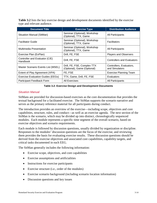**Table 3.2** lists the key exercise design and development documents identified by the exercise type and relevant audience.

| <b>Document Title</b>                      | <b>Exercise Type</b>                                       | <b>Distribution Audience</b>               |
|--------------------------------------------|------------------------------------------------------------|--------------------------------------------|
| Situation Manual (SitMan)                  | Seminar (Optional), Workshop<br>(Optional), TTX, Game      | All Participants                           |
| <b>Facilitator Guide</b>                   | Seminar (Optional), Workshop<br>(Optional), TTX, Game      | Facilitators                               |
| Multimedia Presentation                    | Seminar (Optional), Workshop<br>(Optional), TTX, Game      | All Participants                           |
| Exercise Plan (ExPlan)                     | Drill, FE, FSE                                             | <b>Players and Observers</b>               |
| Controller and Evaluator (C/E)<br>Handbook | Drill, FE, FSE                                             | <b>Controllers and Evaluators</b>          |
| Master Scenario Events List (MSEL)         | Drill, FE, FSE, Complex TTX<br>(Optional), Game (Optional) | Controllers, Evaluators,<br>and Simulators |
| Extent of Play Agreement (XPA)             | FE, FSE                                                    | <b>Exercise Planning Team</b>              |
| Exercise Evaluation Guides (EEGs)          | TTX, Game, Drill, FE, FSE                                  | Evaluators                                 |
| Participant Feedback Form                  | <b>All Exercises</b>                                       | <b>All Participants</b>                    |



#### *Situation Manual*

SitMans are provided for discussion-based exercises as the core documentation that provides the textual background for a facilitated exercise. The SitMan supports the scenario narrative and serves as the primary reference material for all participants during conduct.

The introduction provides an overview of the exercise—including scope, objectives and core capabilities, structure, rules, and conduct—as well as an exercise agenda. The next section of the SitMan is the scenario, which may be divided up into distinct, chronologically sequenced modules. Each module represents a specific time segment of the overall scenario, based on exercise objectives and scenario requirements.

Each module is followed by discussion questions, usually divided by organization or discipline. Responses to the modules' discussion questions are the focus of the exercise, and reviewing them provides the basis for evaluating exercise results. These discussion questions should be derived from the exercise objectives and associated core capabilities, capability targets, and critical tasks documented in each EEG.

The SitMan generally includes the following information:

- Exercise scope, objectives, and core capabilities
- Exercise assumptions and artificialities
- Instructions for exercise participants
- Exercise structure (i.e., order of the modules)
- Exercise scenario background (including scenario location information)
- Discussion questions and key issues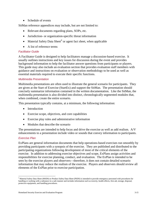• Schedule of events

SitMan reference appendices may include, but are not limited to:

- Relevant documents regarding plans, SOPs, etc.
- Jurisdiction- or organization-specific threat information
- Material Safety Data Sheet<sup>[6](#page-30-0)</sup> or agent fact sheet, when applicable
- A list of reference terms

#### *Facilitator Guide*

A Facilitator Guide is designed to help facilitators manage a discussion-based exercise. It usually outlines instructions and key issues for discussion during the event and provides background information to help the facilitator answer questions from participants or players. This guide may also include an evaluation section that provides evaluation staff members with guidance and instructions on evaluation or observation methodology to be used as well as essential materials required to execute their specific functions.

#### *Multimedia Presentation*

Multimedia presentations are often used to illustrate the general scenario for participants. They are given at the Start of Exercise (StartEx) and support the SitMan. The presentation should concisely summarize information contained in the written documentation. Like the SitMan, the multimedia presentation is also divided into distinct, chronologically segmented modules that, when combined, create the entire scenario.

This presentation typically contains, at a minimum, the following information:

- Introduction
- Exercise scope, objectives, and core capabilities
- Exercise play rules and administrative information
- Modules that describe the scenario

The presentations are intended to help focus and drive the exercise as well as add realism. A/V enhancements to a presentation include video or sounds that convey information to participants.

#### *Exercise Plan*

ExPlans are general information documents that help operations-based exercises run smoothly by providing participants with a synopsis of the exercise. They are published and distributed to the participating organizations following development of most of the critical elements of the exercise. In addition to addressing exercise objectives and scope, ExPlans assign activities and responsibilities for exercise planning, conduct, and evaluation. The ExPlan is intended to be seen by the exercise players and observers—therefore, it does not contain detailed scenario information that may reduce the realism of the exercise. Players and observers should review all elements of the ExPlan prior to exercise participation.

<span id="page-30-0"></span> <sup>6</sup> Material Safety Data Sheet (MSDS) or Product Safety Data Sheet (PSDS) is intended to provide emergency personnel with procedures for handling or working with a substance in a safe manner and includes information such as toxicity, health effects, first aid, storage, disposal, protective equipment, and handling procedures.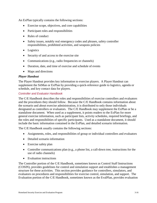An ExPlan typically contains the following sections:

- Exercise scope, objectives, and core capabilities
- Participant roles and responsibilities
- Rules of conduct
- Safety issues, notably real emergency codes and phrases, safety controller responsibilities, prohibited activities, and weapons policies
- Logistics
- Security of and access to the exercise site
- Communications (e.g., radio frequencies or channels)
- Duration, date, and time of exercise and schedule of events
- Maps and directions

#### *Player Handout*

The Player Handout provides key information to exercise players. A Player Handout can supplement the SitMan or ExPlan by providing a quick-reference guide to logistics, agenda or schedule, and key contact data for players.

#### *Controller and Evaluator Handbook*

The C/E Handbook describes the roles and responsibilities of exercise controllers and evaluators and the procedures they should follow. Because the C/E Handbook contains information about the scenario and about exercise administration, it is distributed to only those individuals designated as controllers or evaluators. The C/E Handbook may supplement the ExPlan or be a standalone document. When used as a supplement, it points readers to the ExPlan for more general exercise information, such as participant lists, activity schedules, required briefings, and the roles and responsibilities of specific participants. Used as a standalone document, it should include the basic information contained in the ExPlan, and detailed scenario information.

The C/E Handbook usually contains the following sections:

- Assignments, roles, and responsibilities of group or individual controllers and evaluators
- Detailed scenario information
- Exercise safety plan
- Controller communications plan (e.g., a phone list, a call-down tree, instructions for the use of radio channels)
- Evaluation instructions

The Controller portion of the C/E Handbook, sometimes known as Control Staff Instructions (COSIN), provides guidelines for control and simulation support and establishes a management structure for these activities. This section provides guidance for controllers, simulators, and evaluators on procedures and responsibilities for exercise control, simulation, and support. The Evaluation portion of the C/E Handbook, sometimes known as the EvalPlan, provides evaluation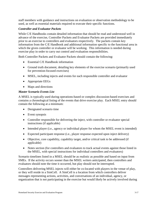staff members with guidance and instructions on evaluation or observation methodology to be used, as well as essential materials required to execute their specific functions.

#### *Controller and Evaluator Packets*

While C/E Handbooks contain detailed information that should be read and understood well in advance of the exercise, Controller Packets and Evaluator Packets are provided immediately prior to an exercise to controllers and evaluators respectively. The packets contain key information from the C/E Handbook and additional information specific to the functional area in which the given controller or evaluator will be working. This information is needed during exercise play in order to carry out control and evaluation responsibilities.

Both Controller Packets and Evaluator Packets should contain the following:

- Essential C/E Handbook information
- Ground truth document, detailing key elements of the exercise scenario (primarily used for prevention-focused exercises)
- MSEL, including injects and events for each responsible controller and evaluator
- Appropriate EEGs
- Maps and directions

#### *Master Scenario Events List*

A MSEL is typically used during operations-based or complex discussion-based exercises and contains a chronological listing of the events that drive exercise play. Each MSEL entry should contain the following at a minimum:

- Designated scenario time
- Event synopsis
- Controller responsible for delivering the inject, with controller or evaluator special instructions (if applicable)
- Intended player (i.e., agency or individual player for whom the MSEL event is intended)
- Expected participant response (i.e., player response expected upon inject delivery)
- Objective, core capability, capability target, and/or critical task to be addressed (if applicable)
- Notes section (for controllers and evaluators to track actual events against those listed in the MSEL, with special instructions for individual controllers and evaluators)

Scenario timelines listed in a MSEL should be as realistic as possible and based on input from SMEs. If the activity occurs sooner than the MSEL writers anticipated, then controllers and evaluators should note the time it occurred, but play should not be interrupted.

Controllers delivering MSEL injects will either be co-located with players in the venue of play, or they will reside in a SimCell. A SimCell is a location from which controllers deliver messages representing actions, activities, and conversations of an individual, agency, or organization that is not participating in the exercise but would likely be actively involved during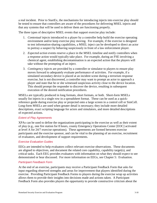a real incident. Prior to StartEx, the mechanisms for introducing injects into exercise play should be tested to ensure that controllers are aware of the procedures for delivering MSEL injects and that any systems that will be used to deliver them are functioning properly.

The three types of descriptive MSEL events that support exercise play include:

- 1. *Contextual injects* introduced to a player by a controller help build the exercise operating environment and/or keep exercise play moving. For example, if the exercise is designed to test information-sharing capabilities, a MSEL inject can be developed to direct an actor to portray a suspect by behaving suspiciously in front of a law enforcement player.
- 2. *Expected action* events reserve a place in the MSEL timeline and notify controllers when a response action would typically take place. For example, during an FSE involving a chemical agent, establishing decontamination is an expected action that the players will take without the prompting of an inject.
- 3. *Contingency injects* are provided by a controller or simulator to players to ensure play moves forward to adequately evaluate performance of activities. For example, if a simulated secondary device is placed at an incident scene during a terrorism response exercise, but is not discovered, a controller may want to prompt an actor to approach a player and state that he or she witnessed suspicious activity close to the device location. This should prompt the responder to discover the device, resulting in subsequent execution of the desired notification procedures.

MSELs are typically produced in long formats, short formats, or both. Short-form MSELs usually list injects in a single row in a spreadsheet format. These can be used as a quickreference guide during exercise play or projected onto a large screen in a control cell or SimCell. Long-form MSELs are used when greater detail is necessary; they include more detailed descriptions, exact scripting language for actors and simulators, and more detailed descriptions of expected actions.

#### *Extent of Play Agreements*

XPAs can be used to define the organizations participating in the exercise as well as their extent of play (e.g., one fire station for 8 hours, county Emergency Operations Center [EOC] activated at level A for 24/7 exercise operations). These agreements are formed between exercise participants and the exercise sponsor, and can be vital to the planning of an exercise, recruitment of evaluators, and development of support requirements.

#### *Exercise Evaluation Guides*

EEGs are intended to help evaluators collect relevant exercise observations. These documents are aligned to objectives, and document the related core capability, capability target(s), and critical tasks. Each EEG provides evaluators with information on what they should expect to see demonstrated or hear discussed. For more information on EEGs, see Chapter 5: Evaluation.

#### *Participant Feedback Form*

At the end of an exercise, participants may receive a Participant Feedback Form that asks for input regarding observed strengths and areas for improvement that players identified during the exercise. Providing Participant Feedback Forms to players during the exercise wrap up activities allows them to provide their insights into decisions made and actions taken. A Participant Feedback Form also provides players the opportunity to provide constructive criticism about the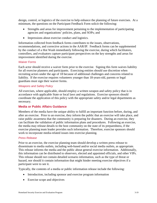design, control, or logistics of the exercise to help enhance the planning of future exercises. At a minimum, the questions on the Participant Feedback Form solicit the following:

- Strengths and areas for improvement pertaining to the implementation of participating agencies and organizations' policies, plans, and SOPs; and
- Impressions about exercise conduct and logistics.

Information collected from feedback forms contributes to the issues, observations, recommendations, and corrective actions in the AAR/IP. Feedback forms can be supplemented by the conduct of a Hot Wash immediately following the exercise, during which facilitators, controllers, and evaluators capture participant perspectives on the key strengths and areas for improvement identified during the exercise.

#### *Waiver Forms*

Each actor should receive a waiver form prior to the exercise. Signing this form waives liability for all exercise planners and participants. Exercising entities should use discretion when recruiting actors under the age of 18 because of additional challenges and concerns related to liability. If the exercise requires volunteers younger than 18-years-old, parents or legal guardians must sign their waiver forms.

#### *Weapons and Safety Policy*

All exercises, where applicable, should employ a written weapon and safety policy that is in accordance with applicable State or local laws and regulations. Exercise sponsors should coordinate the application of this policy with the appropriate safety and/or legal departments as necessary.

#### <span id="page-34-0"></span>**Media or Public Affairs Guidance**

Members of the media have the unique ability to fulfill an important function before, during, and after an exercise. Prior to an exercise, they inform the public that an exercise will take place, and raise public awareness that the community is preparing for disasters. During an exercise, they can facilitate the validation of public information plans and procedures. Following an exercise, the media may release details to the host community on the state of its preparedness, if the exercise planning team leader provides such information. Therefore, exercise sponsors should work to incorporate media-related issues into exercise planning.

#### *Press Release*

Prior to an exercise, the exercise planning team should develop a written press release to disseminate to media outlets, including web-based and/or social media outlets, as appropriate. This release informs the media and the public about general exercise information. Additionally, this information can be distributed to observers, elected and appointed officials, and other VIPs. This release should *not* contain detailed scenario information, such as the type of threat or hazard, nor should it contain information that might hinder meeting exercise objectives if a participant were to see it.

Typically, the contents of a media or public information release include the following:

- Introduction, including sponsor and exercise program information
- Exercise scope and objectives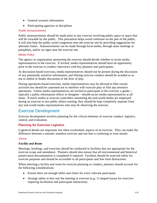- General scenario information
- Participating agencies or disciplines

#### *Public Announcement*

Public announcements should be made prior to any exercise involving public space or space that will be viewable by the public. This precaution helps avoid confusion on the part of the public. It will also help the public avoid congestion near the exercise site by providing suggestions for alternate routes. Announcements can be made through local media, through mass mailings or pamphlets, and/or on signs near the exercise site.

#### *Media Policy*

The agency or organization sponsoring the exercise should decide whether to invite media representatives to the exercise. If invited, media representatives should have an opportunity prior to the exercise to conduct interviews with key planners and participants.

At discussion-based exercises, media representatives should not be present during the discussion of any potentially sensitive information, and filming exercise conduct should be avoided so as not to inhibit or hinder discussion or the flow of play.

During operations-based exercises, media representatives may be allowed to film certain activities but should be cautioned not to interfere with exercise play or film any sensitive operations. Unless media representatives are invited to participate in the exercise, a guide typically a public information officer or designee—should escort media representatives at all times. If mock media or exercise controllers simulating the real-world media are employed during an exercise to test public affairs training, they should be kept completely separate from any real-world media representatives who may be observing the exercise.

# <span id="page-35-0"></span>Exercise Development

Exercise development involves planning for the critical elements of exercise conduct: logistics, control, and evaluation.

#### <span id="page-35-1"></span>**Planning for Exercise Logistics**

Logistical details are important, but often overlooked, aspects of an exercise. They can make the difference between a smooth, seamless exercise and one that is confusing or even unsafe.

#### *Venue*

#### *Facility and Room*

Meetings, briefings, and exercises should be conducted in facilities that are appropriate for the exercise scope and attendance. Planners should also ensure that all environmental and historical preservation documentation is completed if required. Facilities should be reserved solely for exercise purposes and should be accessible to all participants and free from distractions.

When selecting a facility and room for exercise planning or conduct, planners should account for the following considerations:

- Ensure there are enough tables and chairs for every relevant participant.
- Arrange tables to best suit the meeting or exercise (e.g., U-shaped layout for exercises requiring facilitation and participant interaction).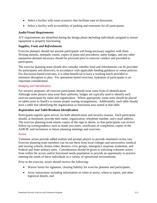- Select a facility with room acoustics that facilitate ease of discussion.
- Select a facility with accessibility of parking and restrooms for all participants.

#### *Audio/Visual Requirements*

A/V requirements are identified during the design phase i*n*cluding individuals assigned to ensure equipment is properly functioning.

#### *Supplies, Food, and Refreshments*

Exercise planners should not assume participants will bring necessary supplies with them. Writing utensils, notepads, easels, copies of plans and procedures, name badges, and any other equipment deemed necessary should be procured prior to exercise conduct and provided to participants.

The exercise planning team should also consider whether food and refreshments can be provided for participants and observers, in accordance with applicable funding guidance or venue policies. For discussion-based exercises, it is often beneficial to have a working lunch provided to minimize disruption to play. For operations-based exercises, hydration of participants is an important consideration.

#### *Badging and Identification*

For security purposes, all exercise participants should wear some form of identification. Although some players may wear their uniforms, badges are typically used to identify each exercise participant by name and organization. Where appropriate, name tents should be placed on tables prior to StartEx to ensure proper seating arrangements. Additionally, each table should have a table tent identifying the organization or functional area seated at that table.

#### *Registration and Table/Breakout Identification*

Participants register upon arrival, for both identification and security reasons. Each participant should, at minimum, provide their name, organization, telephone number, and e-mail address. The exercise planning team retains copies of the sign-in sheets, so that participants can receive follow-up correspondence such as thank-you notes, certificates of completion, copies of the AAR/IP, and invitations to future planning meetings and exercises.

#### *Actors*

Volunteer actors provide added realism and prompt players to provide simulated victim care. Exercise planning team members can recruit them from local colleges and universities, medical and nursing schools, drama clubs, theaters, civic groups, emergency response academies, and Federal and State military units. Consideration should be given to soliciting volunteer actors from within the access and/or functional needs population to provide an opportunity to practice meeting the needs of these individuals in a variety of operational environments.

Prior to the exercise, actors should receive the following:

- Waiver forms for signature, clearing liability for exercise planners and participants;
- Actor instructions including information on when to arrive, where to report, and other logistical details; and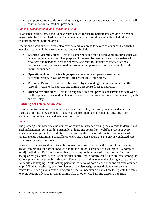• Symptomatology cards containing the signs and symptoms the actor will portray, as well as information for medical providers.

#### *Parking, Transportation, and Designated Areas*

Established parking areas should be clearly labeled for use by participants arriving in personal owned vehicles. If required, law enforcement personnel should be available to help direct vehicles to proper parking areas.

Operations-based exercises may also have several key areas for exercise conduct. Designated exercise areas should be clearly marked, and can include:

- **Exercise Assembly Area.** This is a gathering place for all deployable resources that will be playing in an exercise. The purpose of the exercise assembly area is to gather all resources and personnel near the exercise site prior to StartEx for safety briefings, weapons checks, and to ensure that resources and personnel are transported in a safe and unhurried manner.
- **Operations Area.** This is a large space where tactical operations—such as decontamination, triage, or render-safe procedures—take place.
- **Response Route.** This is the path traveled by responding emergency units from the Assembly Area to the exercise site during a response-focused exercise.
- **Observer/Media Area.** This is a designated area that provides observers and real-world media representatives with a view of the exercise but prevents them from interfering with exercise play.

#### <span id="page-37-0"></span>**Planning for Exercise Control**

Exercise control maintains exercise scope, pace, and integrity during conduct under safe and secure conditions. Key elements of exercise control include controller staffing, structure, training, communications, and safety and security.

#### *Staffing*

The planning team identifies the number of controllers needed during the exercise to deliver and track information. As a guiding principle, at least one controller should be present at every venue whenever possible. In addition to controlling the flow of information and release of MSEL events, positioning a controller at every site helps ensure the exercise is conducted safely with proper security controls.

During discussion-based exercises, the control staff provides the facilitation. If participants divide into groups for part of conduct, a table facilitator is assigned to each group. A complex multijurisdictional FSE, on the other hand, may require hundreds of controllers at field and headquarters play sites, as well as additional controllers in control cells, to coordinate among the various play sites or serve in a SimCell. Resource constraints may make placing a controller at every site challenging. Multitasking personnel to serve as both a controller and an evaluator can help. While not desirable, exercise planners may also assign selected players to serve as controllers. Such players/controllers would need to understand clearly how to separate the roles to avoid feeding advance information into play or otherwise harming exercise integrity.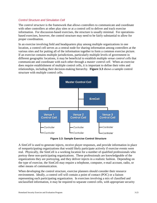#### *Control Structure and Simulation Cell*

The *control structure* is the framework that allows controllers to communicate and coordinate with other controllers at other play sites or at a control cell to deliver and track exercise information. For discussion-based exercises, the structure is usually minimal. For operationsbased exercises, however, the control structure may need to be fairly substantial to allow for proper coordination.

In an exercise involving field and headquarters play among multiple organizations in one location, a control cell serves as a central node for sharing information among controllers at the various sites and for putting all of the information together to form a common exercise picture. If an exercise contains multiple jurisdictions, particularly multiple levels of government in different geographic locations, it may be beneficial to establish multiple *venue control cells* that communicate and coordinate with each other through a *master control cell*. When an exercise does require establishment of multiple control cells, it is important to define their roles and relationships, including their decision-making hierarchy. **Figure 3.3** shows a sample control structure with multiple control cells.



**Figure 3.3: Sample Exercise Control Structure**

A *SimCell* is used to generate injects, receive player responses, and provide information in place of nonparticipating organizations that would likely participate actively if exercise events were real. Physically, the SimCell is a working location for a number of qualified professionals who portray these non-participating organizations. These professionals are knowledgeable of the organizations they are portraying, and they deliver injects in a realistic fashion. Depending on the type of exercise, the SimCell may require a telephone, computer, e-mail account, radio, or other means of communication.

When developing the control structure, exercise planners should consider their resource environment. Ideally, a control cell will contain a point of contact (POC) or a liaison representing each participating organization. In exercises involving a mix of classified and unclassified information, it may be required to separate control cells, with appropriate security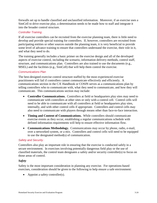firewalls set up to handle classified and unclassified information. Moreover, if an exercise uses a SimCell to drive exercise play, a determination needs to be made how to staff and integrate it into the broader control structure.

#### *Controller Training*

If all exercise controllers can be recruited from the exercise planning team, there is little need to develop and provide special training for controllers. If, however, controllers are recruited from participating entities or other sources outside the planning team, it is very beneficial to provide some level of advance training to ensure that controllers understand the exercise, their role in it, and what they need to do.

The training generally includes a basic primer on the exercise design and all of the developed aspects of exercise control, including the scenario, information delivery methods, control staff, structure, and communications plan. Controllers are also trained to use the documents (e.g., MSEL) and the facilities (e.g., SimCell) that will help them control the exercise.

#### *Communications Plan*

The best-designed exercise control structure staffed by the most experienced exercise practitioners will fail if controllers cannot communicate effectively and efficiently. A communications section in the C/E Handbook or COSIN serves as a communications plan by telling controllers who to communicate with, what they need to communicate, and how they will communicate. This communications section may include:

- **Controller Communications.** Controllers at field or headquarters play sites may need to communicate with controllers at other sites or only with a control cell. Control cells will need to be able to communicate with all controllers at field or headquarters play sites, internally, and with other control cells if appropriate. Controllers and control cells may also need to communicate with players through means other than face-to-face interaction.
- **Timing and Content of Communications.** While controllers should communicate exercise events as they occur, establishing a regular communications schedule with defined information requirements will help to ensure effective information flow.
- **Communications Methodology.** Communications may occur by phone, radio, e-mail, over a networked system, or a mix. Controllers and control cells will need to be equipped to use the designated method(s) of communication.

#### *Safety and Security*

Controllers also play an important role in ensuring that the exercise is conducted safely in a secure environment. In exercises involving potentially dangerous field play or the use of classified materials, the control team designates a safety and/or security controller(s) to focus on those areas of control.

#### *Safety*

Safety is the most important consideration in planning any exercise. For operations-based exercises, consideration should be given to the following to help ensure a safe environment:

• Appoint a safety controller(s).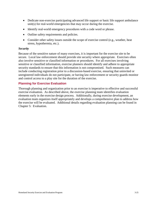- Dedicate non-exercise participating advanced life support or basic life support ambulance unit(s) for real-world emergencies that may occur during the exercise.
- Identify real-world emergency procedures with a code word or phrase.
- Outline safety requirements and policies.
- Consider other safety issues outside the scope of exercise control (e.g., weather, heat stress, hypothermia, etc.).

#### *Security*

Because of the sensitive nature of many exercises, it is important for the exercise site to be secure. Local law enforcement should provide site security where appropriate. Exercises often also involve sensitive or classified information or procedures. For all exercises involving sensitive or classified information, exercise planners should identify and adhere to appropriate security standards to ensure that this information is not compromised. Such measures can include conducting registration prior to a discussion-based exercise, ensuring that uninvited or unregistered individuals do not participate, or having law enforcement or security guards monitor and control access to a play site for the duration of the exercise.

#### <span id="page-40-0"></span>**Planning for Exercise Evaluation**

Thorough planning and organization prior to an exercise is imperative to effective and successful exercise evaluation. As described above, the exercise planning team identifies evaluation elements early in the exercise design process. Additionally, during exercise development, an evaluation team organizes itself appropriately and develops a comprehensive plan to address how the exercise will be evaluated. Additional details regarding evaluation planning can be found in Chapter 5: Evaluation.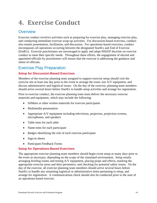# <span id="page-41-0"></span>**4. Exercise Conduct**

# <span id="page-41-1"></span>**Overview**

Exercise conduct involves activities such as preparing for exercise play, managing exercise play, and conducting immediate exercise wrap-up activities. For discussion-based exercises, conduct also entails presentation, facilitation, and discussion. For operations-based exercises, conduct encompasses all operations occurring between the designated StartEx and End of Exercise (EndEx). Exercise practitioners are encouraged to apply and adapt HSEEP doctrine on exercise conduct to meet their specific needs. Throughout these efforts, the engagement of elected and appointed officials by practitioners will ensure that the exercise is addressing the guidance and intent of officials.

# <span id="page-41-2"></span>Exercise Play Preparation

#### <span id="page-41-3"></span>**Setup for Discussion-Based Exercises**

Members of the exercise planning team assigned to support exercise setup should visit the exercise site at least one day prior to the event to arrange the room, test A/V equipment, and discuss administrative and logistical issues. On the day of the exercise, planning team members should arrive several hours before StartEx to handle setup activities and arrange for registration.

Prior to exercise conduct, the exercise planning team must deliver the necessary exercise materials and equipment, which may include the following:

- SitMans or other written materials for exercise participants
- Multimedia presentation
- Appropriate A/V equipment including televisions, projectors, projection screens, microphones, and speakers
- Table tents for each table
- Name tents for each participant
- Badges identifying the role of each exercise participant
- Sign-in sheets
- Participant Feedback Forms

#### <span id="page-41-4"></span>**Setup for Operations-Based Exercises**

The appropriate exercise planning team members should begin event setup as many days prior to the event as necessary, depending on the scope of the simulated environment. Setup entails arranging briefing rooms and testing A/V equipment, placing props and effects, marking the appropriate exercise areas and their perimeters, and checking for potential safety issues. On the day of the exercise, all exercise planning team members should arrive several hours before StartEx to handle any remaining logistical or administrative items pertaining to setup, and arrange for registration. A communications check should also be conducted prior to the start of an operations-based exercise.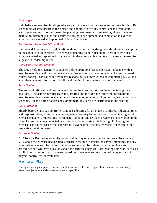#### <span id="page-42-0"></span>**Briefings**

Held before an exercise, briefings educate participants about their roles and responsibilities. By scheduling separate briefings for elected and appointed officials, controllers and evaluators, actors, players, and observers, exercise planning team members can avoid giving extraneous material to different groups and ensure the design, development, and conduct of an exercise aligns to their elected and appointed officials' guidance.

#### *Elected and Appointed Official Briefing*

Elected and Appointed Official Briefings should occur during design and development and prior to the conduct of an exercise. The exercise planning team leader should periodically consult with the elected and appointed officials within the exercise planning team to ensure the exercise aligns with leadership intent.

#### *Controller/Evaluator Briefing*

The C/E Briefing is generally conducted before operations-based exercises. It begins with an exercise overview and then reviews the exercise location and area, schedule of events, scenario, control concept, controller and evaluator responsibilities, instructions on completing EEGs, and any miscellaneous information. Additional training for evaluators may be conducted.

#### *Actor Briefing*

The Actor Briefing should be conducted before the exercise, prior to the actors taking their positions. The actor controller leads this briefing and includes the following information: exercise overview, safety, real emergency procedures, symptomatology, acting instructions, and schedule. Identification badges and symptomatology cards are distributed at this briefing.

#### *Player Briefing*

Shortly before StartEx, a controller conducts a briefing for all players to address individual roles and responsibilities, exercise parameters, safety, security badges, and any remaining logistical exercise concerns or questions. Participant Handouts and ExPlans or SitMans, depending on the type of exercise being conducted, are often distributed during this briefing. Following the exercise, controllers ensure that appropriate players attend the post-exercise Hot Wash in their respective functional area.

#### *Observer Briefing*

An Observer Briefing is generally conducted the day of an exercise and informs observers and VIPs about the exercise background, scenario, schedule of events, observer limitations, and any other miscellaneous information. Often, observers will be unfamiliar with public safety procedures and will have questions about the activities they see. Designating someone, such as a public information officer, to answer questions prevents observers from asking questions of players, controllers, or evaluators.

### <span id="page-42-1"></span>Exercise Play

During exercise play, participants accomplish various roles and responsibilities aimed at achieving exercise objectives and demonstrating core capabilities.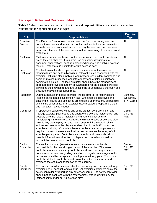### <span id="page-43-0"></span>**Participant Roles and Responsibilities**

**Table 4.1** describes the exercise participant role and responsibilities associated with exercise conduct and the applicable exercise types.

| <b>Role</b>                 | <b>Responsibilities</b>                                                                                                                                                                                                                                                                                                                                                                                                                                                                                                                                                                                                                                                                                                                                                                                    | <b>Exercise</b><br><b>Type</b>     |
|-----------------------------|------------------------------------------------------------------------------------------------------------------------------------------------------------------------------------------------------------------------------------------------------------------------------------------------------------------------------------------------------------------------------------------------------------------------------------------------------------------------------------------------------------------------------------------------------------------------------------------------------------------------------------------------------------------------------------------------------------------------------------------------------------------------------------------------------------|------------------------------------|
| Exercise<br><b>Director</b> | The Exercise Director oversees all exercise functions during exercise<br>conduct, oversees and remains in contact with controllers and evaluators,<br>debriefs controllers and evaluators following the exercise, and oversees<br>setup and cleanup of the exercise as well as positioning of controllers and<br>evaluators.                                                                                                                                                                                                                                                                                                                                                                                                                                                                               | All                                |
| Evaluator                   | Evaluators are chosen based on their expertise in the specific functional<br>areas they will observe. Evaluators use evaluation documents to<br>document observations, capture unresolved issues, and analyze exercise<br>results. Evaluators do not interfere with exercise flow.                                                                                                                                                                                                                                                                                                                                                                                                                                                                                                                         | All                                |
| Lead<br>Evaluator           | The lead evaluator should participate as a member of the exercise<br>planning team and be familiar with all relevant issues associated with the<br>exercise, including plans, policies, and procedures; incident command and<br>decision-making processes; and interagency and/or inter-jurisdictional<br>coordination issues. The lead evaluator should have the management<br>skills needed to oversee a team of evaluators over an extended process<br>as well as the knowledge and analytical skills to undertake a thorough and<br>accurate analysis of all capabilities.                                                                                                                                                                                                                             | All                                |
| Facilitator                 | During a discussion-based exercise, the facilitator(s) is responsible for<br>keeping participant discussions on track with exercise objectives and<br>ensuring all issues and objectives are explored as thoroughly as possible<br>within time constraints. If an exercise uses breakout groups, more than<br>one facilitator may be needed.                                                                                                                                                                                                                                                                                                                                                                                                                                                               | Seminar,<br>Workshop,<br>TTX, Game |
| Controller                  | In operations-based exercises and some games, controllers plan and<br>manage exercise play, set up and operate the exercise incident site, and<br>possibly take the roles of individuals and agencies not actually<br>participating in the exercise. Controllers direct the pace of exercise play,<br>provide key data to players, and may prompt or initiate certain player<br>actions and injects to the players as described in the MSEL to ensure<br>exercise continuity. Controllers issue exercise materials to players as<br>required, monitor the exercise timeline, and supervise the safety of all<br>exercise participants. Controllers are the only participants who should<br>provide information or direction to players. All controllers should be<br>accountable to one senior controller. | Game,<br>Drill, FE,<br><b>FSE</b>  |
| Senior<br>Controller        | The senior controller (sometimes known as a lead controller) is<br>responsible for the overall organization of the exercise. The senior<br>controller monitors actions by controllers and exercise progress, and<br>coordinates decisions regarding deviations or significant changes to the<br>scenario caused by unexpected developments during play. The senior<br>controller debriefs controllers and evaluators after the exercise and<br>oversees the setup and takedown of the exercise.                                                                                                                                                                                                                                                                                                            | Game,<br>Drill, FE,<br><b>FSE</b>  |
| Safety<br>Controller        | The safety controller is responsible for monitoring exercise safety during<br>exercise setup, conduct, and cleanup. All exercise controllers assist the<br>safety controller by reporting any safety concerns. The safety controller<br>should not be confused with the safety officer, who is identified by the<br>incident commander during exercise play.                                                                                                                                                                                                                                                                                                                                                                                                                                               | Drill, FE,<br><b>FSE</b>           |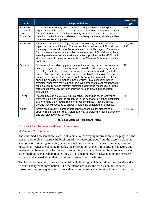| <b>Role</b>                                | <b>Responsibilities</b>                                                                                                                                                                                                                                                                                                                                                                                                                                                                                                                                                                                                                                                                                   | <b>Exercise</b><br><b>Type</b> |
|--------------------------------------------|-----------------------------------------------------------------------------------------------------------------------------------------------------------------------------------------------------------------------------------------------------------------------------------------------------------------------------------------------------------------------------------------------------------------------------------------------------------------------------------------------------------------------------------------------------------------------------------------------------------------------------------------------------------------------------------------------------------|--------------------------------|
| Exercise<br>Assembly<br>Area<br>Controller | The exercise assembly area controller is responsible for the logistical<br>organization of the exercise assembly area, including placement locations<br>for units entering the exercise assembly area, the release of dispatched<br>units into the field, and coordination of pathways and overall safety within<br>the exercise assembly area.                                                                                                                                                                                                                                                                                                                                                           | <b>FSE</b>                     |
| Simulator                                  | Simulators are control staff personnel who role play as nonparticipating<br>organizations or individuals. They most often operate out of SimCell, but<br>they may occasionally have face-to-face contact with players. Simulators<br>function semi-independently under the supervision of SimCell controllers,<br>enacting roles in accordance with instructions provided in the MSEL. All<br>simulators are ultimately accountable to the Exercise Director and senior<br>controller.                                                                                                                                                                                                                    | Drill, FE,<br><b>FSE</b>       |
| Observer                                   | Observers do not directly participate in the exercise; rather, they observe<br>selected segments of the exercise as it unfolds, while remaining separated<br>from player activities. Observers view the exercise from a designated<br>observation area and are asked to remain within the observation area<br>during the exercise. A dedicated controller or public information officer<br>should be assigned to manage these groups. In a discussion-based<br>exercise, observers may support the development of player responses to<br>the situation by asking relevant questions, delivering messages, or citing<br>references; however, they generally do not participate in moderated<br>discussion. | All                            |
| Player                                     | Players have an active role in preventing, responding to, or recovering<br>from the risks and hazards presented in the scenario, by either discussing<br>or performing their regular roles and responsibilities. Players initiate<br>actions that will respond to and/or mitigate the simulated emergency.                                                                                                                                                                                                                                                                                                                                                                                                | All                            |
| Actor                                      | Actors are typically volunteer personnel responsible for simulating a<br>specific role in an exercise. Actors are vital to creating a realistic scenario<br>and can play a variety of roles.                                                                                                                                                                                                                                                                                                                                                                                                                                                                                                              | Drill, FSE                     |

#### **Table 4.1: Exercise Participant Roles**

#### <span id="page-44-0"></span>**Conduct for Discussion-Based Exercises**

#### *Multimedia Presentation*

The multimedia presentation is a crucial vehicle for conveying information to the players. The presentation typically starts with brief remarks by representatives from the exercise planning team or sponsoring organization, and/or elected and appointed officials from the governing jurisdiction. After the opening remarks, the presentation moves into a brief introductory and explanatory phase led by a facilitator. During this phase, attendees will be introduced to any other facilitators, controllers (games only), or evaluators; given background on the exercise process; and advised about their individual roles and responsibilities.

The facilitator generally presents the multimedia briefing, which describes the scenario and any relevant background information. The facilitator also leads the discussion, introduces spokespersons, poses questions to the audience, and ensures that the schedule remains on track.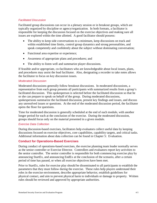#### *Facilitated Discussion*

Facilitated group discussions can occur in a plenary session or in breakout groups, which are typically organized by discipline or agency/organization. In both formats, a facilitator is responsible for keeping the discussion focused on the exercise objectives and making sure all issues are explored within the time allotted. A good facilitator should possess:

- The ability to keep side conversations to a minimum, keep discussions on track and within established time limits, control group dynamics and strong personalities, and speak competently and confidently about the subject without dominating conversation;
- Functional area expertise or experience;
- Awareness of appropriate plans and procedures; and
- The ability to listen well and summarize player discussions.

If feasible and/or appropriate, co-facilitators who are knowledgeable about local issues, plans, and procedures may assist the lead facilitator. Also, designating a recorder to take notes allows the facilitator to focus on key discussion issues.

#### *Moderated Discussion*

Moderated discussions generally follow breakout discussions. In moderated discussions, a representative from each group presents all participants with summarized results from a group's facilitated discussion. This spokesperson is selected before the facilitated discussion so that he or she can prepare to speak on behalf of the group. During moderated discussions, spokespersons summarize the facilitated discussion, present key findings and issues, and discuss any unresolved issues or questions. At the end of the moderated discussion period, the facilitator opens the floor for questions.

Time for moderated discussion is generally scheduled at the end of each module, with another longer period for each at the conclusion of the exercise. During the moderated discussion, groups should focus only on the material presented in a given module.

#### *Exercise Data Collection*

During discussion-based exercises, facilitators help evaluators collect useful data by keeping discussions focused on exercise objectives, core capabilities, capability targets, and critical tasks. Additional information about data collection can be found in Chapter 5: Evaluation.

#### <span id="page-45-0"></span>**Conduct for Operations-Based Exercises**

During conduct of operations-based exercises, the exercise planning team leader normally serves as the senior controller or Exercise Director. Controllers and evaluators report key activities to the senior controller. The senior controller is responsible for both commencing exercise play by announcing StartEx, and announcing EndEx at the conclusion of the scenario, after a certain period of time has passed, or when all exercise objectives have been met.

Prior to StartEx, rules for exercise play should be disseminated to all participants to establish the parameters that they must follow during the exercise. These rules help players understand their roles in the exercise environment, describe appropriate behavior, establish guidelines for physical contact, and aim to prevent physical harm to individuals or damage to property. Written rules should be reviewed and approved by appropriate authorities.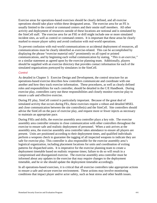Exercise areas for operations-based exercises should be clearly defined, and all exercise operations should take place within these designated areas. The exercise area for an FE is usually limited to the control or command centers and their onsite staff members. All other activity and deployment of resources outside of these locations are notional and is simulated by the SimCell staff. The exercise area for an FSE or drill might include one or more simulated incident sites, as well as control or command centers. It is important that these areas be clearly marked to ensure player safety and avoid confusion with real-world operations.

To prevent confusion with real-world communications or accidental deployment of resources, all communications must be clearly identified as exercise-related. This can be accomplished by displaying the phrase "exercise material only" prominently on all typed or printed communications, and by beginning each verbal communication by stating, *"This is an exercise,"* or a similar statement as agreed upon by the exercise planning team. Additionally, players should be supplied with an exercise directory that provides contact information for each of the simulated organizations portrayed by simulators in the SimCell.

#### *Control*

As detailed in Chapter 3: Exercise Design and Development, the control structure for an operations-based exercise describes how controllers communicate and coordinate with one another and how they track exercise information. These procedures, as well as clearly defined roles and responsibilities for each controller, should be detailed in the C/E Handbook. During exercise play, controllers carry out these responsibilities and closely monitor exercise play to ensure a safe and effective exercise.

During FE play, SimCell control is particularly important. Because of the great deal of simulated activity that occurs during FEs, these exercises require a robust and detailed MSEL and close communication between the site controller(s) and the SimCell. Site controllers should advise the SimCell on the pace of exercise play, and request more or fewer injects as necessary to maintain an appropriate pace.

During FSEs and drills, the exercise assembly area controller plays a key role. The exercise assembly area controller remains in close communication with other controllers throughout the exercise to ensure safe and realistic deployment of personnel. When a unit arrives at the assembly area, the exercise assembly area controller takes attendance to ensure all players are present. Units are positioned according to their deployment times, and qualified individuals perform a weapons check to guarantee the tagging of all inspected weapons to indicate they are safe for exercise play. This controller is also responsible for the exercise assembly area's logistical organization, including placement locations for units and coordination of exiting patterns for dispatched units. It is imperative for the exercise planning team to create a deployment timetable based on realistic response times; failure to do so will result in a compromised and disorganized exercise. The exercise assembly area controller must be informed about any updates to the exercise that may require changes to the deployment timetable, and he or she should update the deployment timetable accordingly.

In all operations-based exercises, it is critical that all exercise controllers take appropriate actions to ensure a safe and secure exercise environment. These actions may involve monitoring conditions that impact player and/or actor safety, such as heat stress and other health issues.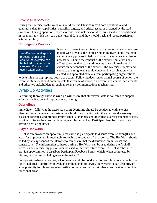#### *Exercise Data Collection*

During the exercise, each evaluator should use the EEGs to record both quantitative and qualitative data for capabilities, capability targets, and critical tasks, as assigned by the lead evaluator. During operations-based exercises, evaluators should be strategically pre-positioned in locations at which they can gather useful data, and they should track and record participant actions carefully.

#### <span id="page-47-0"></span>**Contingency Process**

An effective contingency process is critical to ensure the exercise can be halted, postponed, or canceled if a real-world event takes place.

In order to prevent jeopardizing mission performance in response to real-world events, the exercise planning team should maintain a contingency process to halt, postpone, or cancel an exercise as necessary. Should the conduct of the exercise put at risk any efforts to respond to real-world events or should real-world events hinder conduct of the exercise, the Exercise Director and exercise planning team should convene, in coordination with elected and appointed officials from participating organizations,

to determine the appropriate course of action. Following decision on a final course of action, the Exercise Director should communicate that course of action to all exercise planners, participants, and other key stakeholders through all relevant communications mechanisms.

### <span id="page-47-1"></span>Wrap-Up Activities

Performing thorough exercise wrap-up will ensure that all relevant data is collected to support effective evaluation and improvement planning.

#### <span id="page-47-2"></span>**Debriefings**

Immediately following the exercise, a short debriefing should be conducted with exercise planning team members to ascertain their level of satisfaction with the exercise, discuss any issues or concerns, and propose improvements. Planners should collect exercise attendance lists, provide copies to the exercise planning team leader, collect Participant Feedback Forms, and develop debriefing notes.

#### <span id="page-47-3"></span>**Player Hot Wash**

A Hot Wash provides an opportunity for exercise participants to discuss exercise strengths and areas for improvement immediately following the conduct of an exercise. The Hot Wash should be led by an experienced facilitator who can ensure that the discussion remains brief and constructive. The information gathered during a Hot Wash can be used during the AAR/IP process, and exercise suggestions can be used to improve future exercises. Hot Washes also provide opportunities to distribute Participant Feedback Forms, which, when completed by players, can be used to help generate the AAR/IP.

For operations-based exercises, a Hot Wash should be conducted for each functional area by that functional area's controller or evaluator immediately following an exercise. It can also provide an opportunity for players to gain clarification on exercise play at other exercise sites or in other functional areas.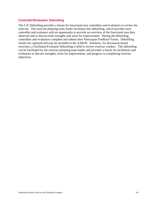#### <span id="page-48-0"></span>**Controller/Evaluator Debriefing**

The C/E Debriefing provides a forum for functional area controllers and evaluators to review the exercise. The exercise planning team leader facilitates this debriefing, which provides each controller and evaluator with an opportunity to provide an overview of the functional area they observed and to discuss both strengths and areas for improvement. During the debriefing, controllers and evaluators complete and submit their Participant Feedback Forms. Debriefing results are captured and may be included in the AAR/IP. Similarly, for discussion-based exercises, a Facilitator/Evaluator Debriefing is held to review exercise conduct. This debriefing can be facilitated by the exercise planning team leader and provides a forum for facilitators and evaluators to discuss strengths, areas for improvement, and progress in completing exercise objectives.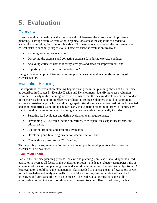# <span id="page-49-0"></span>**5. Evaluation**

# <span id="page-49-1"></span>**Overview**

Exercise evaluation maintains the fundamental link between the exercise and improvement planning. Through exercise evaluation, organizations assess the capabilities needed to accomplish a mission, function, or objective. This assessment is based on the performance of critical tasks to capability target levels. Effective exercise evaluation involves:

- Planning for exercise evaluation;
- Observing the exercise and collecting exercise data during exercise conduct;
- Analyzing collected data to identify strengths and areas for improvement; and
- Reporting exercise outcomes in a draft AAR.

Using a common approach to evaluation supports consistent and meaningful reporting of exercise results.

# <span id="page-49-2"></span>Evaluation Planning

It is important that evaluation planning begins during the initial planning phases of the exercise, as described in Chapter 3: Exercise Design and Development. Identifying clear evaluation requirements early in the planning process will ensure that the design, development, and conduct of the exercise best support an effective evaluation. Exercise planners should collaborate to ensure a consistent approach for evaluating capabilities during an exercise. Additionally, elected and appointed officials should be engaged early in evaluation planning in order to identify any specific evaluation requirements. Planning an exercise evaluation typically includes:

- Selecting lead evaluator and define evaluation team requirements;
- Developing EEGs, which include objectives, core capabilities, capability targets, and critical tasks;
- Recruiting, training, and assigning evaluators;
- Developing and finalizing evaluation documentation; and
- Conducting a pre-exercise C/E Briefing.

Through this process, an evaluation team can develop a thorough plan to address how the exercise will be evaluated.

#### <span id="page-49-3"></span>**Evaluation Team**

Early in the exercise planning process, the exercise planning team leader should appoint a lead evaluator to oversee all facets of the evaluation process. The lead evaluator participates fully as a member of the exercise planning team and should be familiar with the exercise's objectives. A lead evaluator should have the management skills needed to oversee a team of evaluators as well as the knowledge and analytical skills to undertake a thorough and accurate analysis of all objectives and core capabilities of an exercise. The lead evaluator must have the skills to effectively communicate and coordinate with the exercise controllers. In addition, the lead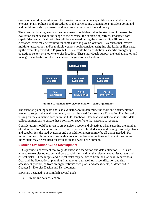evaluator should be familiar with the mission areas and core capabilities associated with the exercise; plans, policies, and procedures of the participating organizations; incident command and decision-making processes; and key preparedness doctrine and policy.

The exercise planning team and lead evaluator should determine the structure of the exercise evaluation team based on the scope of the exercise, the exercise objectives, associated core capabilities, and critical tasks that will be evaluated during the exercise. Specific security clearance levels may be required for some exercise play or locations. Exercises that involve multiple jurisdictions and/or multiple venues should consider assigning site leads, as illustrated by the example provided in **Figure 5.1**. A site could be a jurisdiction, a specific emergency operations center, or another exercise location. These individuals support the lead evaluator and manage the activities of other evaluators assigned to that location.



**Figure 5.1: Sample Exercise Evaluation Team Organization**

The exercise planning team and lead evaluator should determine the tools and documentation needed to support the evaluation team, such as the need for a separate Evaluation Plan instead of relying on the evaluation section in the C/E Handbook. The lead evaluator also identifies data collection methods to ensure that information specific to that exercise is recorded.

Consideration should be given to an exercise's scope and objectives when selecting the number of individuals for evaluation support. For exercises of limited scope and having fewer objectives and capabilities, the lead evaluator and one additional person may be all that is needed. For more complex or larger exercises with a greater number of objectives and capabilities, more individuals may be required for evaluation and AAR development.

#### <span id="page-50-0"></span>**Exercise Evaluation Guide Development**

EEGs provide a consistent tool to guide exercise observation and data collection. EEGs are aligned to exercise objectives and core capabilities, and list the relevant capability targets and critical tasks. These targets and critical tasks may be drawn from the National Preparedness Goal and the five national planning frameworks, a threat/hazard identification and risk assessment product, or from an organization's own plans and assessments, as described in Chapter 3: Exercise Design and Development.

EEGs are designed to accomplish several goals:

Streamline data collection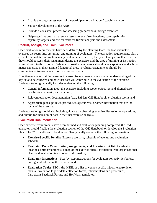- Enable thorough assessments of the participant organizations' capability targets
- Support development of the AAR
- Provide a consistent process for assessing preparedness through exercises
- Help organizations map exercise results to exercise objectives, core capabilities, capability targets, and critical tasks for further analysis and assessment

#### <span id="page-51-0"></span>**Recruit, Assign, and Train Evaluators**

Once evaluation requirements have been defined by the planning team, the lead evaluator oversees the recruiting, assigning, and training of evaluators. The evaluation requirements play a critical role in determining how many evaluators are needed, the type of subject matter expertise they should possess, their assignment during the exercise, and the type of training or instruction required prior to the exercise. Whenever possible, evaluators should have experience and subject matter expertise in their assigned functional area. Evaluator assignments should be communicated to evaluators prior to exercise conduct.

Effective evaluator training ensures that exercise evaluators have a shared understanding of the key data to be collected and how that data will contribute to the evaluation of the exercise. Evaluator training typically includes reviewing the following:

- General information about the exercise, including scope, objectives and aligned core capabilities, scenario, and schedule;
- Relevant evaluator documentation (e.g., SitMan, C/E Handbook, evaluation tools); and
- Appropriate plans, policies, procedures, agreements, or other information that are the focus of the exercise.

Evaluator training should also include guidance on observing exercise discussion or operations, and criteria for inclusion of data in the final exercise analysis.

#### <span id="page-51-1"></span>**Evaluation Documentation**

Once exercise requirements have been defined and evaluation planning completed, the lead evaluator should finalize the evaluation section of the C/E Handbook or develop the Evaluation Plan. The C/E Handbook or Evaluation Plan typically contains the following information:

- **Exercise-Specific Details:** Exercise scenario, schedule of events, and evaluation schedule;
- **Evaluator Team Organization, Assignments, and Locations:** A list of evaluator locations, shift assignments, a map of the exercise site(s), evaluation team organizational chart, and evaluation team contact information;
- **Evaluator Instructions:** Step-by-step instructions for evaluators for activities before, during, and following the exercise; and
- **Evaluation Tools:** EEGs, the MSEL or a list of venue-specific injects, electronic or manual evaluation logs or data collection forms, relevant plans and procedures, Participant Feedback Forms, and Hot Wash templates.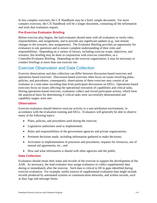In less complex exercises, the C/E Handbook may be a brief, simple document. For more complex exercises, the C/E Handbook will be a longer document, containing all the information and tools that evaluators require.

#### <span id="page-52-0"></span>**Pre-Exercise Evaluator Briefing**

Before exercise play begins, the lead evaluator should meet with all evaluators to verify roles, responsibilities, and assignments, and to provide any significant updates (e.g., last-minute changes to the scenario, new assignments). The Evaluator Briefing provides an opportunity for evaluators to ask questions and to ensure complete understanding of their roles and responsibilities. Depending on a variety of factors, including exercise scope, objectives, and scenario, this briefing may be done in conjunction with exercise controllers, as a Controller/Evaluator Briefing. Depending on the exercise organization, it may be necessary to conduct briefings at more than one exercise site.

# <span id="page-52-1"></span>Exercise Observation and Data Collection

Exercise observations and data collection can differ between discussion-based exercises and operations-based exercises. Discussion-based exercises often focus on issues involving plans, policies, and procedures; consequently, observations of these exercises may consist of an evaluator or a note-taker recording data from participant discussions on EEGs. Operations-based exercises focus on issues affecting the operational execution of capabilities and critical tasks. During operations-based exercises, evaluators collect and record participant actions, which form the analytical basis for determining if critical tasks were successfully demonstrated and capability targets were met.

#### <span id="page-52-2"></span>**Observation**

Exercise evaluators should observe exercise activity in a non-attribution environment, in accordance with the evaluation training and EEGs. Evaluators will generally be able to observe many of the following topics:

- Plans, policies, and procedures used during the exercise;
- Legislative authorities used or implemented;
- Roles and responsibilities of the government agencies and private organizations;
- Pertinent decisions made, including information gathered to make decisions;
- Activation or implementation of processes and procedures, requests for resources, use of mutual aid agreements, etc.; and
- How and what information is shared with other agencies and the public.

#### <span id="page-52-3"></span>**Data Collection**

Evaluators should retain their notes and records of the exercise to support the development of the AAR. As necessary, the lead evaluator may assign evaluators to collect supplemental data during or immediately after the exercise. Such data is critical to fill in gaps identified during exercise evaluation. For example, useful sources of supplemental evaluation data might include records produced by automated systems or communication networks, and written records, such as duty logs and message forms.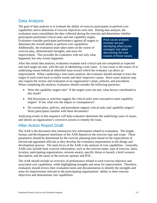# <span id="page-53-0"></span>Data Analysis

The goal of data analysis is to evaluate the ability of exercise participants to perform core capabilities and to determine if exercise objectives were met. During data analysis, the evaluation team consolidates the data collected during the exercise and determines whether

participants performed critical tasks and met capability targets. Evaluators consider participant performance against all targets to determine the overall ability to perform core capabilities. Additionally, the evaluation team takes notes on the course of exercise play, demonstrated strengths, and areas for improvement. This provides the evaluators with not only what happened, but why events happened.

Root-cause analysis involves not just identifying what issues emerged, but rather discovering the root causes of those issues.

After this initial data analysis, evaluators examine each critical task not completed as expected and each target not met, with the aim of identifying a root cause. A *root cause* is the source of or underlying reason behind an identified issue toward which the evaluator can direct an improvement. When conducting a root-cause analysis, the evaluator should attempt to trace the origin of each event back to earlier events and their respective causes. Root-cause analysis may also require the review and evaluation of an organization's plans, policies, and procedures. When completing the analysis, evaluators should consider the following questions:

- Were the capability targets met? If the targets were not met, what factors contributed to this result?
- Did discussion or activities suggest the critical tasks were executed to meet capability targets? If not, what was the impact or consequences?
- Do current plans, policies, and procedures support critical tasks and capability targets? Were participants familiar with these documents?

Analyzing events in this sequence will help evaluators determine the underlying cause of issues, and inform an organization's corrective actions to remedy the issue.

# <span id="page-53-1"></span>After-Action Report Draft

The AAR is the document that summarizes key information related to evaluation. The length, format, and development timeframe of the AAR depend on the exercise type and scope. These parameters should be determined by the exercise planning team based on the expectations of elected and appointed officials as they develop the evaluation requirements in the design and development process. The main focus of the AAR is the analysis of core capabilities. Generally, AARs also include basic exercise information, such as the exercise name, type of exercise, dates, location, participating organizations, mission area(s), specific threat or hazard, a brief scenario description, and the name of the exercise sponsor and POC.

The AAR should include an overview of performance related to each exercise objective and associated core capabilities, while highlighting strengths and areas for improvement. Therefore, evaluators should review their evaluation notes and documentation to identify the strengths and areas for improvement relevant to the participating organizations' ability to meet exercise objectives and demonstrate core capabilities.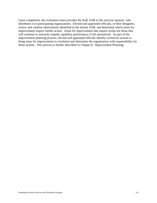Upon completion, the evaluation team provides the draft AAR to the exercise sponsor, who distributes it to participating organizations. Elected and appointed officials, or their designees, review and confirm observations identified in the formal AAR, and determine which areas for improvement require further action. Areas for improvement that require action are those that will continue to seriously impede capability performance if left unresolved. As part of the improvement planning process, elected and appointed officials identify corrective actions to bring areas for improvement to resolution and determine the organization with responsibility for those actions. This process is further described in Chapter 6: Improvement Planning.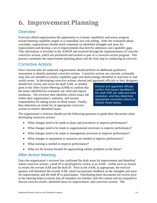# <span id="page-55-0"></span>**6. Improvement Planning**

# <span id="page-55-1"></span>**Overview**

Exercises afford organizations the opportunity to evaluate capabilities and assess progress toward meeting capability targets in a controlled, low-risk setting. After the evaluation phase concludes, organizations should reach consensus on identified strengths and areas for improvement and develop a set of improvements that directly addresses core capability gaps. This information is recorded in the AAR/IP and resolved through the implementation of concrete corrective actions, which are prioritized and tracked as part of a corrective action program. This process constitutes the improvement planning phase and the final step in conducting an exercise.

# <span id="page-55-2"></span>Corrective Actions

Once exercise data are analyzed, organizations should perform an additional qualitative assessment to identify potential corrective actions. Corrective actions are concrete, actionable steps that are intended to resolve capability gaps and shortcomings identified in exercises or realworld events. In developing corrective actions, elected and appointed officials or their designees

should first review and revise the draft AAR, as needed, prior to the After-Action Meeting (AAM) to confirm that the issues identified by evaluators are valid and require resolution. The reviewer then identifies which issues fall within their organization's authority, and assume responsibility for taking action on those issues. Finally, they determine an initial list of appropriate corrective actions to resolve identified issues.

Elected and appointed officials confirm that issues identified in the draft AAR are valid and need resolution, and they determine appropriate corrective actions to resolve those issues.

The organization's reviewer should use the following questions to guide their discussion when developing corrective actions:

- What changes need to be made to plans and procedures to improve performance?
- What changes need to be made to organizational structures to improve performance?
- What changes need to be made to management processes to improve performance?
- What changes to equipment or resources are needed to improve performance?
- What training is needed to improve performance?
- What are the lessons learned for approaching similar problems in the future?

# <span id="page-55-3"></span>After-Action Meeting

Once the organization's reviewer has confirmed the draft areas for improvement and identified initial corrective actions, a draft IP is developed for review at an AAM. AAMs serve as forums to review the revised AAR and the draft IP. Prior to the AAM, as appropriate, the exercise sponsor will distribute the revised AAR, which incorporates feedback on the strengths and areas for improvement, and the draft IP to participants. Distributing these documents for review prior to the meeting helps to ensure that all attendees are familiar with the content and are prepared to discuss exercise results, identified areas for improvement, and corrective actions. The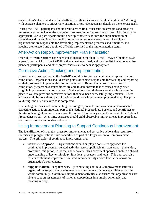organization's elected and appointed officials, or their designees, should attend the AAM along with exercise planners to answer any questions or provide necessary details on the exercise itself.

During the AAM, participants should seek to reach final consensus on strengths and areas for improvement, as well as revise and gain consensus on draft corrective actions. Additionally, as appropriate, AAM participants should develop concrete deadlines for implementation of corrective actions and identify specific corrective action owners/assignees. Participant organizations are responsible for developing implementation processes and timelines, and keeping their elected and appointed officials informed of the implementation status.

# <span id="page-56-0"></span>After-Action Report/Improvement Plan Finalization

Once all corrective actions have been consolidated in the final IP, the IP may be included as an appendix to the AAR. The AAR/IP is then considered final, and may be distributed to exercise planners, participants, and other preparedness stakeholders as appropriate.

# <span id="page-56-1"></span>Corrective Action Tracking and Implementation

Corrective actions captured in the AAR/IP should be tracked and continually reported on until completion. Organizations should assign points of contact responsible for tracking and reporting on their progress in implementing corrective actions. By tracking corrective actions to completion, preparedness stakeholders are able to demonstrate that exercises have yielded tangible improvements in preparedness. Stakeholders should also ensure there is a system in place to validate previous corrective actions that have been successfully implemented. These efforts should be considered part of a wider continuous improvement process that applies prior to, during, and after an exercise is completed.

Conducting exercises and documenting the strengths, areas for improvement, and associated corrective actions is an important part of the National Preparedness System, and contributes to the strengthening of preparedness across the Whole Community and achievement of the National Preparedness Goal. Over time, exercises should yield observable improvements in preparedness for future exercises and real-world events.

# <span id="page-56-2"></span>Using Improvement Planning to Support Continuous Improvement

The identification of strengths, areas for improvement, and corrective actions that result from exercises help organizations build capabilities as part of a larger continuous improvement process. The principles of continuous improvement are:

- **Consistent Approach.** Organizations should employ a consistent approach for continuous improvement-related activities across applicable mission areas—prevention, protection, mitigation, response, and recovery. This consistent approach enables a shared understanding of key terminology, functions, processes, and tools. This approach also fosters continuous improvement-related interoperability and collaboration across an organization's components.
- **Support National Preparedness.** By conducting continuous improvement activities, organizations support the development and sustainment of core capabilities across the whole community. Continuous improvement activities also ensure that organizations are able to support assessments of national preparedness in a timely, actionable, and meaningful way.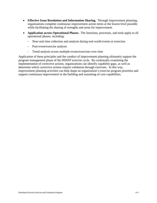- **Effective Issue Resolution and Information Sharing.** Through improvement planning, organizations complete continuous improvement action items at the lowest level possible while facilitating the sharing of strengths and areas for improvement.
- **Application across Operational Phases.** The functions, processes, and tools apply to all operational phases, including:
	- **-** Near-real time collection and analysis during real-world events or exercises
	- **-** Post-event/exercise analysis
	- **-** Trend analysis across multiple events/exercises over time

Application of these principles and the conduct of improvement planning ultimately support the program management phase of the HSEEP exercise cycle. By continually examining the implementation of corrective actions, organizations can identify capability gaps, as well as determine which corrective actions require validation through exercises. In this way, improvement planning activities can help shape an organization's exercise program priorities and support continuous improvement in the building and sustaining of core capabilities.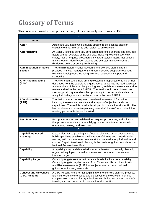# <span id="page-58-0"></span>**Glossary of Terms**

This document provides descriptions for many of the commonly-used terms in HSEEP.

|                                                 | A                                                                                                                                                                                                                                                                                                                                                                                                                                                          |
|-------------------------------------------------|------------------------------------------------------------------------------------------------------------------------------------------------------------------------------------------------------------------------------------------------------------------------------------------------------------------------------------------------------------------------------------------------------------------------------------------------------------|
| <b>Term</b>                                     | <b>Description</b>                                                                                                                                                                                                                                                                                                                                                                                                                                         |
| Actor                                           | Actors are volunteers who simulate specific roles, such as disaster<br>casualty victims, in order to add realism to an exercise.                                                                                                                                                                                                                                                                                                                           |
| <b>Actor Briefing</b>                           | An Actor Briefing is generally conducted before the exercise and provides<br>actors with an overview of the exercise, including: exercise overview,<br>safety, real emergency procedures, symptomatology, acting instructions,<br>and schedule. Identification badges and symptomatology cards are<br>distributed before or during this briefing.                                                                                                          |
| <b>Administration/Finance</b><br><b>Section</b> | The Administration/Finance Section of the exercise planning team<br>provides financial management and administrative support throughout<br>exercise development, including exercise registration support and<br>scheduling.                                                                                                                                                                                                                                |
| <b>After-Action Meeting</b><br>(AAM)            | The AAM is a meeting held among elected and appointed officials or their<br>designees from the exercising organizations, as well as the lead evaluator<br>and members of the exercise planning team, to debrief the exercise and to<br>review and refine the draft AAR/IP. The AAM should be an interactive<br>session, providing attendees the opportunity to discuss and validate the<br>analytical findings and corrective actions in the draft AAR/IP. |
| <b>After-Action Report</b><br>(AAR)             | The AAR summarizes key exercise-related evaluation information,<br>including the exercise overview and analysis of objectives and core<br>capabilities. The AAR is usually developed in conjunction with an IP. The<br>lead evaluator and exercise planning team draft the AAR and submit it to<br>meeting participants before the AAM.                                                                                                                    |
|                                                 | B                                                                                                                                                                                                                                                                                                                                                                                                                                                          |
| <b>Best Practices</b>                           | Best practices are peer-validated techniques, procedures, and solutions<br>that prove successful and are solidly grounded in actual experience in<br>operations, training, and exercises.                                                                                                                                                                                                                                                                  |
|                                                 | $\mathbf{C}$                                                                                                                                                                                                                                                                                                                                                                                                                                               |
| <b>Capabilities-Based</b><br><b>Planning</b>    | Capabilities-based planning is defined as planning, under uncertainty, to<br>build capabilities suitable for a wide range of threats and hazards while<br>working within an economic framework that necessitates prioritization and<br>choice. Capabilities-based planning is the basis for guidance such as the<br>National Preparedness Goal.                                                                                                            |
| <b>Capability</b>                               | A capability may be delivered with any combination of properly planned,<br>organized, equipped, trained, and exercised personnel to achieve an<br>intended target.                                                                                                                                                                                                                                                                                         |
| <b>Capability Target</b>                        | Capability targets are the performance thresholds for a core capability.<br>Capability targets may be derived from Threat and Hazard Identification<br>and Risk Assessments (THIRAs), subject-matter experts, national<br>guidance, or industry standards.                                                                                                                                                                                                 |
| <b>Concept and Objectives</b><br>(C&O) Meeting  | A C&O Meeting is the formal beginning of the exercise planning process.<br>It is held to identify the scope and objectives of the exercise. For less<br>complex exercises and for organizations with limited resources, the C&O<br>Meeting can be conducted in conjunction with the IPM.                                                                                                                                                                   |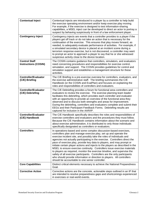| <b>Contextual Inject</b>                            | Contextual injects are introduced to a player by a controller to help build<br>the exercise operating environment and/or keep exercise play moving.<br>For example, if the exercise is designed to test information-sharing<br>capabilities, a MSEL inject can be developed to direct an actor to portray a<br>suspect by behaving suspiciously in front of a law enforcement player.                                                                                                                                                                                                                                                                                                                                                                                                                                         |
|-----------------------------------------------------|-------------------------------------------------------------------------------------------------------------------------------------------------------------------------------------------------------------------------------------------------------------------------------------------------------------------------------------------------------------------------------------------------------------------------------------------------------------------------------------------------------------------------------------------------------------------------------------------------------------------------------------------------------------------------------------------------------------------------------------------------------------------------------------------------------------------------------|
| <b>Contingency Inject</b>                           | Contingency injects are events that a controller provides to a player if the<br>players get off track or do not take an action that is necessary for the<br>continuation of the exercise. This ensures that play moves forward, as<br>needed, to adequately evaluate performance of activities. For example, if<br>a simulated secondary device is placed at an incident scene during a<br>terrorism response exercise, but is not discovered, a controller may want<br>to prompt an actor to approach a player to say that he or she witnessed<br>suspicious activity close to the device location.                                                                                                                                                                                                                          |
| <b>Control Staff</b><br><b>Instructions (COSIN)</b> | The COSIN contains guidance that controllers, simulators, and evaluators<br>need concerning procedures and responsibilities for exercise control,<br>simulation, and support. The COSIN provides guidelines for control and<br>simulation support and establishes a management structure for these<br>activities.                                                                                                                                                                                                                                                                                                                                                                                                                                                                                                             |
| <b>Controller/Evaluator</b><br>(C/E) Briefing       | The C/E Briefing is a pre-exercise overview for controllers, evaluators, and<br>the exercise administrative staff. The briefing summarizes the C/E<br>Handbook (or the COSIN and EvalPlan) and focuses on explaining the<br>roles and responsibilities of controllers and evaluators.                                                                                                                                                                                                                                                                                                                                                                                                                                                                                                                                         |
| <b>Controller/Evaluator</b><br>(C/E) Debriefing     | The C/E Debriefing provides a forum for functional area controllers and<br>evaluators to review the exercise. The exercise planning team leader<br>facilitates this debriefing, which provides each controller and evaluator<br>with an opportunity to provide an overview of the functional area they<br>observed and to discuss both strengths and areas for improvement.<br>During the debriefing, controllers and evaluators complete and submit their<br>EEGs and their Participant Feedback Forms. Debriefing results are<br>captured for inclusion in the AAR/IP.                                                                                                                                                                                                                                                      |
| <b>Controller/Evaluator</b><br>(C/E) Handbook       | The C/E Handbook specifically describes the roles and responsibilities of<br>exercise controllers and evaluators and the procedures they must follow.<br>Because the C/E Handbook contains information about the scenario and<br>about exercise administration, it is distributed to only those individuals<br>specifically designated as controllers or evaluators.                                                                                                                                                                                                                                                                                                                                                                                                                                                          |
| <b>Controllers</b>                                  | In operations-based and some complex discussion-based exercises,<br>controllers plan and manage exercise play, set up and operate the<br>exercise incident site, and possibly take the roles of individuals and<br>agencies not actually participating in the exercise. Controllers direct the<br>pace of exercise play, provide key data to players, and may prompt or<br>initiate certain player actions and injects to the players as described in the<br>MSEL to ensure exercise continuity. Controllers issue exercise materials<br>to players as required, monitor the exercise timeline, and supervise the<br>safety of all exercise participants. Controllers are the only participants<br>who should provide information or direction to players. All controllers<br>should be accountable to one senior controller. |
| <b>Core Capabilities</b>                            | Distinct critical elements necessary to achieve the National Preparedness<br>Goal.                                                                                                                                                                                                                                                                                                                                                                                                                                                                                                                                                                                                                                                                                                                                            |
| <b>Corrective Action</b>                            | Corrective actions are the concrete, actionable steps outlined in an IP that<br>are intended to resolve preparedness gaps and shortcomings experienced<br>in exercises or real-world events.                                                                                                                                                                                                                                                                                                                                                                                                                                                                                                                                                                                                                                  |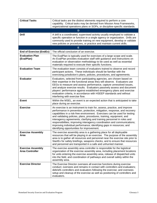| <b>Critical Tasks</b>                              | Critical tasks are the distinct elements required to perform a core<br>capability. Critical tasks may be derived from Mission Area Frameworks,<br>organizational operations plans or SOPs, or discipline-specific standards.                                                                                                                                                                                                                                                                                                                                                            |
|----------------------------------------------------|-----------------------------------------------------------------------------------------------------------------------------------------------------------------------------------------------------------------------------------------------------------------------------------------------------------------------------------------------------------------------------------------------------------------------------------------------------------------------------------------------------------------------------------------------------------------------------------------|
|                                                    | D                                                                                                                                                                                                                                                                                                                                                                                                                                                                                                                                                                                       |
| <b>Drill</b>                                       | A drill is a coordinated, supervised activity usually employed to validate a<br>specific operation or function in a single agency or organization. Drills are<br>commonly used to provide training on new equipment, develop or validate<br>new policies or procedures, or practice and maintain current skills.                                                                                                                                                                                                                                                                        |
|                                                    | Е                                                                                                                                                                                                                                                                                                                                                                                                                                                                                                                                                                                       |
| <b>End of Exercise (EndEx)</b>                     | The official conclusion of an exercise.                                                                                                                                                                                                                                                                                                                                                                                                                                                                                                                                                 |
| <b>Evaluation Plan</b><br>(EvalPlan)               | The EvalPlan is typically used for exercises of a large scope and scale.<br>An EvalPlan provides evaluation staff with guidance and instructions on<br>evaluation or observation methodology to be used as well as essential<br>materials required to execute their specific functions.                                                                                                                                                                                                                                                                                                 |
| <b>Evaluation Team</b>                             | The evaluation team consists of evaluators trained to observe and record<br>participant actions. These individuals should be familiar with the<br>exercising jurisdiction's plans, policies, procedures, and agreements.                                                                                                                                                                                                                                                                                                                                                                |
| <b>Evaluator</b>                                   | Evaluators, selected from participating agencies, are chosen based on<br>their expertise in the functional areas they will observe. Evaluators use<br>EEGs to measure and assess performance, capture unresolved issues,<br>and analyze exercise results. Evaluators passively assess and document<br>players' performance against established emergency plans and exercise<br>evaluation criteria, in accordance with HSEEP standards and without<br>interfering with exercise flow.                                                                                                   |
| <b>Event</b>                                       | Within the MSEL, an event is an expected action that is anticipated to take<br>place during an exercise.                                                                                                                                                                                                                                                                                                                                                                                                                                                                                |
| <b>Exercise</b>                                    | An exercise is an instrument to train for, assess, practice, and improve<br>performance in prevention, protection, mitigation, response, and recovery<br>capabilities in a risk-free environment. Exercises can be used for testing<br>and validating policies, plans, procedures, training, equipment, and<br>interagency agreements; clarifying and training personnel in roles and<br>responsibilities; improving interagency coordination and communications;<br>improving individual performance; identifying gaps in resources; and<br>identifying opportunities for improvement. |
| <b>Exercise Assembly</b><br>Area                   | The exercise assembly area is a gathering place for all deployable<br>resources that will be playing in an exercise. The purpose of the assembly<br>area is to gather all resources and personnel near the exercise site prior to<br>StartEx for safety briefings, weapons checks, and to ensure that resources<br>and personnel are transported in a safe and unhurried manner.                                                                                                                                                                                                        |
| <b>Exercise Assembly</b><br><b>Area Controller</b> | The exercise assembly area controller is responsible for the logistical<br>organization of the exercise assembly area, including placement locations<br>for units entering the exercise assembly area, release of dispatched units<br>into the field, and coordination of pathways and overall safety within the<br>assembly area.                                                                                                                                                                                                                                                      |
| <b>Exercise Director</b>                           | The Exercise Director oversees all exercise functions during exercise<br>conduct; oversees and remains in contact with controllers and evaluators;<br>debriefs controllers and evaluators following the exercise; and oversees<br>setup and cleanup of the exercise as well as positioning of controllers and<br>evaluators.                                                                                                                                                                                                                                                            |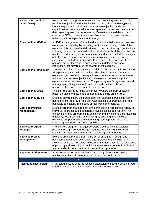| <b>Exercise Evaluation</b><br>Guide (EEG)    | EEGs provide a template for observing and collecting exercise data in<br>relation to objectives and associated core capabilities. EEGs typically<br>identify targets and critical tasks for exercise objectives and core<br>capabilities and enable evaluators to capture structured and unstructured<br>data regarding exercise performance. Evaluators should develop and<br>customize EEGs to meet the unique objectives of their exercise and to<br>reflect jurisdiction-specific capability targets.                                                                                                                                                                 |
|----------------------------------------------|---------------------------------------------------------------------------------------------------------------------------------------------------------------------------------------------------------------------------------------------------------------------------------------------------------------------------------------------------------------------------------------------------------------------------------------------------------------------------------------------------------------------------------------------------------------------------------------------------------------------------------------------------------------------------|
| <b>Exercise Plan (ExPlan)</b>                | An ExPlan is a general information document that helps operations-based<br>exercises run smoothly by providing participants with a synopsis of the<br>exercise. It is published and distributed to the participating organizations<br>following development of most of the critical elements of the exercise. In<br>addition to addressing exercise objectives and scope, an ExPlan assigns<br>activities and responsibilities for exercise planning, conduct, and<br>evaluation. The ExPlan is intended to be seen by the exercise players<br>and observers-therefore, it does not contain detailed scenario<br>information that may reduce the realism of the exercise. |
| <b>Exercise Planning Team</b>                | The exercise planning team is responsible for the successful execution of<br>all aspects of an individual exercise. The planning team determines<br>exercise objectives and core capabilities, creates a realistic scenario to<br>achieve the exercise objectives, and develops documents to guide<br>exercise conduct and evaluation. The planning team's organization and<br>management principles should include clearly defined roles and<br>responsibilities and a manageable span of control.                                                                                                                                                                       |
| <b>Exercise Play Area</b>                    | The exercise play area is the site or facility where the bulk of tactical<br>player activities and tasks are demonstrated during an exercise.                                                                                                                                                                                                                                                                                                                                                                                                                                                                                                                             |
| <b>Exercise Play Rules</b>                   | Exercise play rules are the parameters that exercise participants follow<br>during the exercise. Exercise play rules describe appropriate exercise<br>behavior, particularly in the case of real-world emergencies.                                                                                                                                                                                                                                                                                                                                                                                                                                                       |
| <b>Exercise Program</b><br><b>Management</b> | Exercise program management is the process of overseeing a variety of<br>individual exercises and supporting activities sustained over time. An<br>effective exercise program helps whole community stakeholders maximize<br>efficiency, resources, time, and funding by ensuring that individual<br>exercises are part of a coordinated, integrated approach to building,<br>sustaining, and delivering core capabilities.                                                                                                                                                                                                                                               |
| <b>Exercise Program</b><br><b>Manager</b>    | The exercise program manager develops a self-sustaining exercise<br>program through program budget management oversight, exercise<br>conduct, and improvement tracking monitoring and reporting.                                                                                                                                                                                                                                                                                                                                                                                                                                                                          |
| <b>Exercise Project</b><br><b>Management</b> | Exercise project management is the act of engaging in design and<br>development, conduct, evaluation, and improvement planning for an<br>individual exercise. Effective project management ensures that all aspects<br>of planning and executing an individual exercise are done efficiently and<br>are grounded in common approaches and best practices.                                                                                                                                                                                                                                                                                                                 |
| <b>Expected Action Event</b>                 | An expected action event serves as a holding place in the MSEL and<br>notifies controllers of when an expected action should occur.                                                                                                                                                                                                                                                                                                                                                                                                                                                                                                                                       |
|                                              | F                                                                                                                                                                                                                                                                                                                                                                                                                                                                                                                                                                                                                                                                         |
| <b>Facilitated Discussion</b>                | A facilitated discussion is the focused discussion of specific issues through<br>a facilitator with functional area or subject-matter expertise.                                                                                                                                                                                                                                                                                                                                                                                                                                                                                                                          |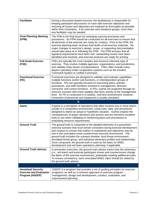| <b>Facilitator</b>                     | During a discussion-based exercise, the facilitator(s) is responsible for<br>keeping participant discussions on track with exercise objectives and<br>ensuring all issues and objectives are explored as thoroughly as possible<br>within time constraints. If an exercise uses breakout groups, more than<br>one facilitator may be needed.                                                                                                                                                                                                                                                            |
|----------------------------------------|---------------------------------------------------------------------------------------------------------------------------------------------------------------------------------------------------------------------------------------------------------------------------------------------------------------------------------------------------------------------------------------------------------------------------------------------------------------------------------------------------------------------------------------------------------------------------------------------------------|
| <b>Final Planning Meeting</b><br>(FPM) | The FPM is the final forum for reviewing exercise processes and<br>procedures. An FPM should be conducted for all exercises to ensure that<br>all elements of the exercise are ready for conduct. Prior to the FPM, the<br>exercise planning team receives final drafts of all exercise materials. No<br>major changes to exercise's design, scope, or supporting documentation<br>should take place at or following the FPM. The FPM ensures that all<br>logistical requirements have been met, outstanding issues have been<br>identified and resolved, and exercise products are ready for printing. |
| <b>Full-Scale Exercise</b><br>(FSE)    | FSEs are typically the most complex and resource-intensive type of<br>exercise. They involve multiple agencies, organizations, and jurisdictions<br>and validate many facets of preparedness. FSEs often include many<br>players operating under cooperative systems such as the Incident<br>Command System or Unified Command.                                                                                                                                                                                                                                                                         |
| <b>Functional Exercise</b><br>(FE)     | Functional exercises are designed to validate and evaluate capabilities,<br>multiple functions and/or sub-functions, or interdependent groups of<br>functions. FEs are typically focused on exercising plans, policies,<br>procedures, and staff members involved in management, direction,<br>command, and control functions. In FEs, events are projected through an<br>exercise scenario with event updates that drive activity at the management<br>level. An FE is conducted in a realistic, real-time environment; however,<br>movement of personnel and equipment is usually simulated.          |
|                                        |                                                                                                                                                                                                                                                                                                                                                                                                                                                                                                                                                                                                         |
|                                        | G                                                                                                                                                                                                                                                                                                                                                                                                                                                                                                                                                                                                       |
| Game                                   | A game is a simulation of operations that often involves two or more teams,<br>usually in a competitive environment, using rules, data, and procedures<br>designed to depict an actual or hypothetic situation. Games explore the<br>consequences of player decisions and actions and are therefore excellent<br>tools to use when validating or reinforcing plans and procedures or<br>evaluating resource requirements.                                                                                                                                                                               |
| <b>Ground Truth</b>                    | The ground truth is comprised of the detailed elements of a prevention<br>exercise scenario that must remain consistent during exercise development<br>and conduct to ensure that realism is maintained and objectives may be<br>met in the unscripted move-countermove exercise environment. The<br>ground truth includes the scenario timeline, local threat environment,<br>simulated threat group, and individual adversary profiles and relationships.<br>Once composed, the ground truth is used as the basis for MSEL<br>development and red team operations planning, if applicable.            |
| <b>Ground Truth Advisor</b>            | In prevention exercises, the ground truth advisor tracks how the adversary<br>(i.e., red team) and exercise participant moves and countermoves change<br>the fabric of the exercise environment, potentially creating additional truths.<br>To ensure consistency, each unscripted MSEL inject should be vetted by<br>the ground truth advisor.                                                                                                                                                                                                                                                         |
|                                        | н                                                                                                                                                                                                                                                                                                                                                                                                                                                                                                                                                                                                       |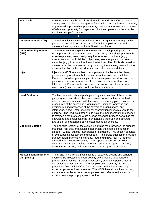| <b>Hot Wash</b>                              | A Hot Wash is a facilitated discussion held immediately after an exercise<br>among exercise players. It captures feedback about any issues, concerns,<br>or proposed improvements players may have about the exercise. The Hot<br>Wash is an opportunity for players to voice their opinions on the exercise<br>and their own performance.                                                                                                                                                                                                                                                                                                                                                                                                           |
|----------------------------------------------|------------------------------------------------------------------------------------------------------------------------------------------------------------------------------------------------------------------------------------------------------------------------------------------------------------------------------------------------------------------------------------------------------------------------------------------------------------------------------------------------------------------------------------------------------------------------------------------------------------------------------------------------------------------------------------------------------------------------------------------------------|
|                                              | Π                                                                                                                                                                                                                                                                                                                                                                                                                                                                                                                                                                                                                                                                                                                                                    |
| <b>Improvement Plan (IP)</b>                 | The IP identifies specific corrective actions, assigns them to responsible<br>parties, and establishes target dates for their completion. The IP is<br>developed in conjunction with the After-Action Report.                                                                                                                                                                                                                                                                                                                                                                                                                                                                                                                                        |
| <b>Initial Planning Meeting</b><br>(IPM)     | The IPM marks the beginning of the exercise development phase. An<br>IPM's purpose is to determine exercise scope by gathering input from the<br>exercise planning team; design requirements and conditions (e.g.,<br>assumptions and artificialities); objectives; extent of play; and scenario<br>variables (e.g., time, location, hazard selection). The IPM is also used to<br>develop exercise documentation by obtaining the planning team's input on<br>exercise location, schedule, duration, and other relevant details.                                                                                                                                                                                                                    |
| Inject                                       | Injects are MSEL events that prompt players to implement the plans,<br>policies, and procedures that planners want the exercise to validate.<br>Exercise controllers provide injects to exercise players to drive exercise<br>play toward achievement of objectives. Injects can be written, oral,<br>televised, and/or transmitted via any means (e.g., fax, phone, e-mail,<br>voice, radio). Injects can be contextual or contingency.                                                                                                                                                                                                                                                                                                             |
|                                              | L                                                                                                                                                                                                                                                                                                                                                                                                                                                                                                                                                                                                                                                                                                                                                    |
| <b>Lead Evaluator</b>                        | The lead evaluator should participate fully as a member of the exercise<br>planning team and should be a senior-level individual familiar with all<br>relevant issues associated with the exercise, including plans, policies, and<br>procedures of the exercising organizations; Incident Command and<br>decision-making processes of the exercising organizations; and<br>interagency and/or inter-jurisdictional coordination issues relevant to the<br>exercise. The lead evaluator should have the management skills needed<br>to oversee a team of evaluators over an extended process as well as the<br>knowledge and analytical skills to undertake a thorough and accurate<br>analysis of all capabilities being tested during an exercise. |
| <b>Logistics Section</b>                     | The Logistics Section of the exercise planning team provides the supplies,<br>materials, facilities, and services that enable the exercise to function<br>smoothly without outside interference or disruption. This section consists<br>of two subsections: service and support. The service subsection provides<br>transportation, barricading, signage, food and drinks, real-life medical<br>capability, and exercise security. The support subsection provides<br>communications, purchasing, general supplies, management of VIPs,<br>observer processing, and recruitment and management of actors.                                                                                                                                            |
|                                              | M                                                                                                                                                                                                                                                                                                                                                                                                                                                                                                                                                                                                                                                                                                                                                    |
| <b>Master Scenario Events</b><br>List (MSEL) | The MSEL is a chronological timeline of expected actions and scripted<br>events to be injected into exercise play by controllers to generate or<br>prompt player activity. It ensures necessary events happen so that all<br>objectives are met. Larger, more complex exercises may also use a<br>procedural flow, which differs from the MSEL in that it contains only<br>expected player actions or events. The MSEL links simulation to action,<br>enhances exercise experience for players, and reflects an incident or<br>activity meant to prompt players to action.                                                                                                                                                                           |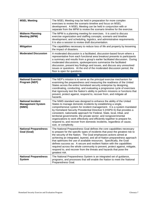| <b>MSEL Meeting</b>                                            | The MSEL Meeting may be held in preparation for more complex<br>exercises to review the scenario timeline and focus on MSEL<br>development. A MSEL Meeting can be held in conjunction with or<br>separate from the MPM to review the scenario timeline for the exercise.                                                                                                                                                                                                                                                                                                                                                           |
|----------------------------------------------------------------|------------------------------------------------------------------------------------------------------------------------------------------------------------------------------------------------------------------------------------------------------------------------------------------------------------------------------------------------------------------------------------------------------------------------------------------------------------------------------------------------------------------------------------------------------------------------------------------------------------------------------------|
| <b>Midterm Planning</b><br><b>Meeting (MPM)</b>                | The MPM is a planning meeting for exercises. It is used to discuss<br>exercise organization and staffing concepts; scenario and timeline<br>development; and scheduling, logistics, and administrative requirements.<br>It is also a session to review draft documentation.                                                                                                                                                                                                                                                                                                                                                        |
| <b>Mitigation</b>                                              | The capabilities necessary to reduce loss of life and property by lessening<br>the impact of disasters.                                                                                                                                                                                                                                                                                                                                                                                                                                                                                                                            |
| <b>Moderated Discussion</b>                                    | A moderated discussion is a facilitated, discussion-based forum where a<br>representative from each functional area breakout presents to participants<br>a summary and results from a group's earlier facilitated discussion. During<br>moderated discussions, spokespersons summarize the facilitated<br>discussion, present key findings and issues, and discuss any unresolved<br>issues or questions. At the end of the moderated discussion period, the<br>floor is open for questions.                                                                                                                                       |
| <b>N</b>                                                       |                                                                                                                                                                                                                                                                                                                                                                                                                                                                                                                                                                                                                                    |
| <b>National Exercise</b><br>Program (NEP)                      | The NEP's mission is to serve as the principal exercise mechanism for<br>examining the preparedness and measuring the readiness of the United<br>States across the entire homeland security enterprise by designing,<br>coordinating, conducting, and evaluating a progressive cycle of exercises<br>that rigorously test the Nation's ability to perform missions or functions that<br>prevent, protect against, respond to, recover from, and mitigate all<br>hazards.                                                                                                                                                           |
| <b>National Incident</b><br><b>Management System</b><br>(NIMS) | The NIMS standard was designed to enhance the ability of the United<br>States to manage domestic incidents by establishing a single,<br>comprehensive system for incident management. It is a system mandated<br>by Homeland Security Presidential Directive 5 (HSPD-5) that provides a<br>consistent, nationwide approach for Federal, State, local, tribal, and<br>territorial governments; the private sector; and nongovernmental<br>organizations to work effectively and efficiently together to prepare for,<br>respond to, and recover from domestic incidents, regardless of cause,<br>size, or complexity.               |
| <b>National Preparedness</b><br>Goal (Goal)                    | The National Preparedness Goal defines the core capabilities necessary<br>to prepare for the specific types of incidents that pose the greatest risk to<br>the security of the Nation. The Goal emphasizes actions aimed at<br>achieving an integrated, layered, and all-of-Nation preparedness approach<br>that optimizes the use of available resources. Specifically, the Goal<br>defines success as: A secure and resilient Nation with the capabilities<br>required across the whole community to prevent, protect against, mitigate,<br>respond to, and recover from the threats and hazards that pose the<br>greatest risk. |
| <b>National Preparedness</b><br><b>System</b>                  | The National Preparedness System is an integrated set of guidance,<br>programs, and processes that will enable the Nation to meet the National<br>Preparedness Goal.                                                                                                                                                                                                                                                                                                                                                                                                                                                               |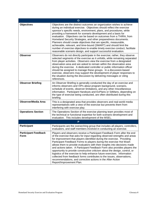| $\mathbf{o}$                        |                                                                                                                                                                                                                                                                                                                                                                                                                                                                                                                                                                                                                                                                                                                                                                                               |
|-------------------------------------|-----------------------------------------------------------------------------------------------------------------------------------------------------------------------------------------------------------------------------------------------------------------------------------------------------------------------------------------------------------------------------------------------------------------------------------------------------------------------------------------------------------------------------------------------------------------------------------------------------------------------------------------------------------------------------------------------------------------------------------------------------------------------------------------------|
| <b>Objectives</b>                   | Objectives are the distinct outcomes an organization wishes to achieve<br>during an individual exercise. Objectives should reflect the exercise<br>sponsor's specific needs, environment, plans, and procedures, while<br>providing a framework for scenario development and a basis for<br>evaluation. Objectives can be based on outcomes from a THIRA, from<br>Homeland Security Strategies, and other preparedness documents.<br>Planners should create objectives that are specific, measurable,<br>achievable, relevant, and time-bound (SMART) and should limit the<br>number of exercise objectives to enable timely exercise conduct, facilitate<br>reasonable scenario design, and support successful evaluation.                                                                   |
| <b>Observer</b>                     | Observers do not directly participate in the exercise; rather, they observe<br>selected segments of the exercise as it unfolds, while remaining separated<br>from player activities. Observers view the exercise from a designated<br>observation area and are asked to remain within the observation area<br>during the exercise. A dedicated controller or public information officer<br>should be assigned to manage these groups. In a discussion-based<br>exercise, observers may support the development of player responses to<br>the situation during the discussion by delivering messages or citing<br>references.                                                                                                                                                                  |
| <b>Observer Briefing</b>            | An Observer Briefing is generally conducted the day of an exercise and<br>informs observers and VIPs about program background, scenario,<br>schedule of events, observer limitations, and any other miscellaneous<br>information. Participant Handouts and ExPlans or SitMans, depending on<br>the type of exercise being conducted, are often distributed during this<br>briefing.                                                                                                                                                                                                                                                                                                                                                                                                           |
| <b>Observer/Media Area</b>          | This is a designated area that provides observers and real-world media<br>representatives with a view of the exercise but prevents them from<br>interfering with exercise play.                                                                                                                                                                                                                                                                                                                                                                                                                                                                                                                                                                                                               |
| <b>Operations Section</b>           | The Operations Section of the exercise planning team provides most of<br>the technical or functional expertise for both scenario development and<br>evaluation. This includes development of the MSEL.                                                                                                                                                                                                                                                                                                                                                                                                                                                                                                                                                                                        |
|                                     | P                                                                                                                                                                                                                                                                                                                                                                                                                                                                                                                                                                                                                                                                                                                                                                                             |
| <b>Participant</b>                  | Participants are the overarching group that includes all players, controllers,<br>evaluators, and staff members involved in conducting an exercise.                                                                                                                                                                                                                                                                                                                                                                                                                                                                                                                                                                                                                                           |
| <b>Participant Feedback</b><br>Form | Players and observers receive a Participant Feedback Form after the end<br>of the exercise that asks for input regarding observed strengths and areas<br>for improvement that players identified during the exercise. Providing<br>Participant Feedback Forms to players during the exercise Hot Wash<br>allows them to provide evaluators with their insights into decisions made<br>and actions taken. A Participant Feedback Form also provides players the<br>opportunity to provide constructive criticism about the design, control, or<br>logistics of the exercise to help enhance future exercises. Information<br>collected from feedback forms contributes to the issues, observations,<br>recommendations, and corrective actions in the After-Action<br>Report/Improvement Plan. |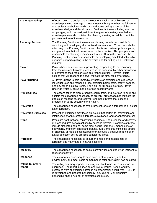| <b>Planning Meetings</b>                | Effective exercise design and development involve a combination of<br>exercise planning meetings. These meetings bring together the full range<br>of exercise stakeholders to discuss and agree on key aspects of the<br>exercise's design and development. Various factors-including exercise<br>scope, type, and complexity—inform the types of meetings needed, and<br>exercise planners should tailor the planning meeting schedule to suit the<br>particular nature of the exercise.                                                                    |
|-----------------------------------------|--------------------------------------------------------------------------------------------------------------------------------------------------------------------------------------------------------------------------------------------------------------------------------------------------------------------------------------------------------------------------------------------------------------------------------------------------------------------------------------------------------------------------------------------------------------|
| <b>Planning Section</b>                 | The Planning Section of the exercise planning team is responsible for<br>compiling and developing all exercise documentation. To accomplish this<br>effectively, the Planning Section also collects and reviews policies, plans,<br>and procedures that will be assessed in the exercise. This group is also<br>responsible for planning exercise evaluation. During the exercise, the<br>Planning Section may be responsible for developing simulated actions by<br>agencies not participating in the exercise and for setting up a SimCell as<br>required. |
| <b>Player</b>                           | Players have an active role in preventing, responding to, or recovering<br>from the risks and hazards presented in the scenario, by either discussing<br>or performing their regular roles and responsibilities. Players initiate<br>actions that will respond to and/or mitigate the simulated emergency.                                                                                                                                                                                                                                                   |
| <b>Player Briefing</b>                  | A Player Briefing is held immediately before an exercise and addresses<br>individual roles and responsibilities, exercise parameters, safety, badges,<br>and any other logistical items. For a drill or full-scale exercise, Player<br>Briefings typically occur in the exercise assembly area.                                                                                                                                                                                                                                                              |
| <b>Preparedness</b>                     | The actions taken to plan, organize, equip, train, and exercise to build and<br>sustain the capabilities necessary to prevent, protect against, mitigate the<br>effects of, respond to, and recover from those threats that pose the<br>greatest risk to the security of the Nation.                                                                                                                                                                                                                                                                         |
| <b>Prevention</b>                       | The capabilities necessary to avoid, prevent, or stop a threatened or actual<br>act of terrorism.                                                                                                                                                                                                                                                                                                                                                                                                                                                            |
| <b>Prevention Exercises</b>             | Prevention exercises may focus on issues that pertain to information and<br>intelligence sharing, credible threats, surveillance, and/or opposing forces.                                                                                                                                                                                                                                                                                                                                                                                                    |
| <b>Props</b>                            | Props are nonfunctional replications of objects. The presence or discovery<br>of props requires certain actions by exercise players. Examples of props<br>include simulated bombs, bomb blast debris (shrapnel), mannequins or<br>body parts, and foam bricks and beams. Simulants that mimic the effects<br>of chemical or radiological hazards or that cause a positive reading of an<br>actual detection device are also considered props.                                                                                                                |
| <b>Protection</b>                       | The capabilities necessary to secure the homeland against acts of<br>terrorism and manmade or natural disasters.                                                                                                                                                                                                                                                                                                                                                                                                                                             |
|                                         | $\mathsf{R}$                                                                                                                                                                                                                                                                                                                                                                                                                                                                                                                                                 |
| <b>Recovery</b>                         | The capabilities necessary to assist communities affected by an incident to<br>recover effectively.                                                                                                                                                                                                                                                                                                                                                                                                                                                          |
| Response                                | The capabilities necessary to save lives, protect property and the<br>environment, and meet basic human needs after an incident has occurred.                                                                                                                                                                                                                                                                                                                                                                                                                |
| <b>Rolling Summary</b><br><b>Report</b> | The rolling summary report is an analysis of outcomes across a series of<br>exercises. The report includes an analysis of issues, trends, and key<br>outcomes from all exercises listed in an organization's multi-year TEP. It<br>is developed and updated periodically (e.g., quarterly or biennially),<br>depending on the number of exercises conducted.                                                                                                                                                                                                 |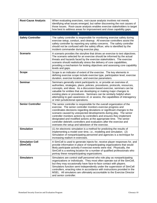| <b>Root-Cause Analysis</b>          | When evaluating exercises, root-cause analysis involves not merely<br>identifying what issues emerged, but rather discovering the root causes of<br>those issues. Root-cause analysis enables exercise stakeholders to target<br>how best to address areas for improvement and close capability gaps.                                                                                                                                                                                                                                                                     |
|-------------------------------------|---------------------------------------------------------------------------------------------------------------------------------------------------------------------------------------------------------------------------------------------------------------------------------------------------------------------------------------------------------------------------------------------------------------------------------------------------------------------------------------------------------------------------------------------------------------------------|
|                                     | S                                                                                                                                                                                                                                                                                                                                                                                                                                                                                                                                                                         |
| <b>Safety Controller</b>            | The safety controller is responsible for monitoring exercise safety during<br>exercise setup, conduct, and cleanup. All exercise controllers assist the<br>safety controller by reporting any safety concerns. The safety controller<br>should not be confused with the safety officer, who is identified by the<br>incident commander during exercise play.                                                                                                                                                                                                              |
| <b>Scenario</b>                     | A scenario provides the storyline that drives an exercise to test objectives.<br>The scenario selected for an exercise should be informed by the actual<br>threats and hazards faced by the exercise stakeholders. The exercise<br>scenario should realistically stress the delivery of core capabilities,<br>providing a mechanism for testing objectives and assessing core capability<br>levels and gaps.                                                                                                                                                              |
| <b>Scope</b>                        | Scope is an indicator of extent of the exercise. The key elements in<br>defining exercise scope include exercise type, participation level, exercise<br>duration, exercise location, and exercise parameters.                                                                                                                                                                                                                                                                                                                                                             |
| <b>Seminar</b>                      | Seminars generally orient participants to, or provide an overview of,<br>authorities, strategies, plans, policies, procedures, protocols, resources,<br>concepts, and ideas. As a discussion-based exercise, seminars can be<br>valuable for entities that are developing or making major changes to<br>existing plans or procedures. Seminars can be similarly helpful when<br>attempting to gain awareness of, or assess, the capabilities of interagency<br>or inter-jurisdictional operations.                                                                        |
| <b>Senior Controller</b>            | The senior controller is responsible for the overall organization of the<br>exercise. The senior controller monitors exercise progress and<br>coordinates decisions regarding deviations or significant changes to the<br>scenario caused by unexpected developments during play. The senior<br>controller monitors actions by controllers and ensures they implement<br>designated and modified actions at the appropriate time. The senior<br>controller debriefs controllers and evaluators after the exercise and<br>oversees the setup and takedown of the exercise. |
| <b>Simulation</b>                   | (1) An electronic simulation is a method for predicting the results of<br>implementing a model over time, i.e., modeling and simulation. (2)<br>Simulation of nonparticipating personnel and agencies is a technique for<br>increasing realism in exercises.                                                                                                                                                                                                                                                                                                              |
| <b>Simulation Cell</b><br>(SimCell) | A SimCell is used to generate injects for, receive player responses for, and<br>provide information in place of nonparticipating organizations that would<br>likely participate actively if exercise events were real. Physically, the<br>SimCell is a working location for a number of qualified professionals who<br>portray these nonparticipating organizations.                                                                                                                                                                                                      |
| <b>Simulators</b>                   | Simulators are control staff personnel who role play as nonparticipating<br>organizations or individuals. They most often operate out of the SimCell,<br>but they may occasionally have face-to-face contact with players.<br>Simulators function semi-independently under the supervision of SimCell<br>controllers, enacting roles in accordance with instructions provided in the<br>MSEL. All simulators are ultimately accountable to the Exercise Director<br>and senior controller.                                                                                |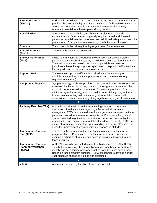| <b>Situation Manual</b><br>(SitMan)                                | A SitMan is provided for TTXs and games as the core documentation that<br>provides the textual background for a multimedia, facilitated exercise. The<br>SitMan supports the scenario narrative and serves as the primary<br>reference material for all participants during conduct.                                                                                                                                                                                                                                                                                                       |
|--------------------------------------------------------------------|--------------------------------------------------------------------------------------------------------------------------------------------------------------------------------------------------------------------------------------------------------------------------------------------------------------------------------------------------------------------------------------------------------------------------------------------------------------------------------------------------------------------------------------------------------------------------------------------|
| <b>Special Effects</b>                                             | Special effects are technical, mechanical, or electronic scenario<br>enhancements. Special effects typically require trained and licensed<br>personnel, special permission for use, and additional safety and/or security<br>precautions. Examples include use of pyrotechnics or explosives.                                                                                                                                                                                                                                                                                              |
| <b>Sponsor</b>                                                     | The sponsor is the primary funding organization for an exercise.                                                                                                                                                                                                                                                                                                                                                                                                                                                                                                                           |
| <b>Start of Exercise</b><br>(StartEx)                              | The official beginning of an exercise.                                                                                                                                                                                                                                                                                                                                                                                                                                                                                                                                                     |
| <b>Subject-Matter Expert</b><br>(SME)                              | SMEs add functional knowledge and expertise in a specific area or in<br>performing a specialized job, task, or skill to the exercise planning team.<br>They help make the scenario realistic and plausible and ensure<br>jurisdictions have the appropriate capabilities to respond. SMEs are ideal<br>for the positions of controllers and evaluators.                                                                                                                                                                                                                                    |
| <b>Support Staff</b>                                               | The exercise support staff includes individuals who are assigned<br>administrative and logistical support tasks during the exercise (e.g.,<br>registration, catering).                                                                                                                                                                                                                                                                                                                                                                                                                     |
| <b>Symptomatology Card</b>                                         | Symptomatology cards are provided to each actor in a response-focused<br>exercise. Each card is unique, containing the signs and symptoms the<br>actor will portray as well as information for medical providers. At a<br>minimum, symptomatology cards should include vital signs; symptoms;<br>trauma injuries; acting instructions (e.g., disorientation, emotional<br>distress); and special needs (e.g., language barriers, physical limitations).                                                                                                                                    |
|                                                                    | T                                                                                                                                                                                                                                                                                                                                                                                                                                                                                                                                                                                          |
| <b>Tabletop Exercise (TTX)</b>                                     | A TTX is typically held in an informal setting intended to generate<br>discussion of various issues regarding a hypothetical, simulated<br>emergency. TTXs can be used to enhance general awareness, validate<br>plans and procedures, rehearse concepts, and/or assess the types of<br>systems needed to guide the prevention of, protection from, mitigation of,<br>response to, and recovery from a defined incident. Generally, TTXs are<br>aimed at facilitating conceptual understanding, identifying strengths and<br>areas for improvement, and/or achieving changes in attitudes. |
| <b>Training and Exercise</b><br>Plan (TEP)                         | The TEP is the foundation document guiding a successful exercise<br>program. The TEP articulates overall exercise program priorities and<br>outlines a schedule of training and exercise activities designed to meet<br>those priorities.                                                                                                                                                                                                                                                                                                                                                  |
| <b>Training and Exercise</b><br><b>Planning Workshop</b><br>(TEPW) | A TEPW is usually conducted to create a Multi-year TEP. At a TEPW,<br>stakeholders work together in a collaborative workshop environment to<br>identify and set exercise program priorities based on core capabilities.<br>Based on these program priorities, TEPW stakeholders develop a multi-<br>year schedule of specific training and exercises.                                                                                                                                                                                                                                      |
| v                                                                  |                                                                                                                                                                                                                                                                                                                                                                                                                                                                                                                                                                                            |
| <b>Venue</b>                                                       | A venue is the primary location of exercise conduct.                                                                                                                                                                                                                                                                                                                                                                                                                                                                                                                                       |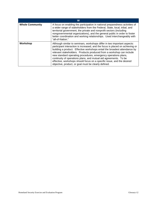| W                      |                                                                                                                                                                                                                                                                                                                                                                                                                                                                                                                                                                                        |
|------------------------|----------------------------------------------------------------------------------------------------------------------------------------------------------------------------------------------------------------------------------------------------------------------------------------------------------------------------------------------------------------------------------------------------------------------------------------------------------------------------------------------------------------------------------------------------------------------------------------|
| <b>Whole Community</b> | A focus on enabling the participation in national preparedness activities of<br>a wider range of stakeholders from the Federal, State, local, tribal, and<br>territorial government, the private and nonprofit sectors (including<br>nongovernmental organizations), and the general public in order to foster<br>better coordination and working relationships. Used interchangeably with<br>"all-of-Nation."                                                                                                                                                                         |
| Workshop               | Although similar to seminars, workshops differ in two important aspects:<br>participant interaction is increased, and the focus is placed on achieving or<br>building a product. Effective workshops entail the broadest attendance by<br>relevant stakeholders. Products produced from a workshop can include<br>new standard operating procedures, emergency operations plans,<br>continuity of operations plans, and mutual aid agreements. To be<br>effective, workshops should focus on a specific issue, and the desired<br>objective, product, or goal must be clearly defined. |